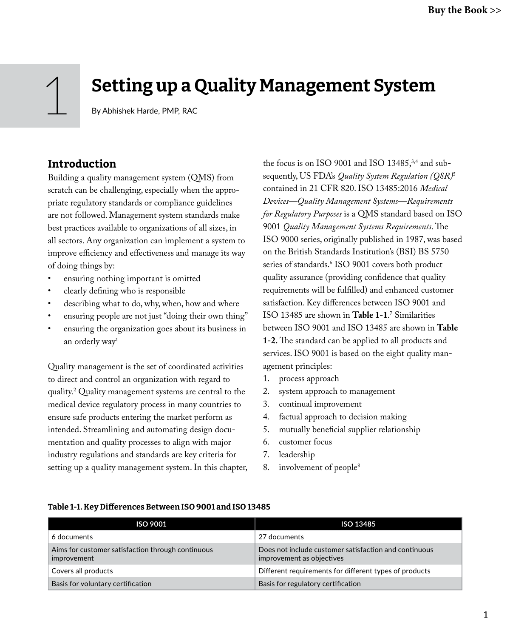# 1 Setting up a Quality Management System

By Abhishek Harde, PMP, RAC

### **Introduction**

Building a quality management system (QMS) from scratch can be challenging, especially when the appropriate regulatory standards or compliance guidelines are not followed. Management system standards make best practices available to organizations of all sizes, in all sectors. Any organization can implement a system to improve efficiency and effectiveness and manage its way of doing things by:

- ensuring nothing important is omitted
- clearly defining who is responsible
- describing what to do, why, when, how and where
- ensuring people are not just "doing their own thing"
- ensuring the organization goes about its business in an orderly way1

Quality management is the set of coordinated activities to direct and control an organization with regard to quality.2 Quality management systems are central to the medical device regulatory process in many countries to ensure safe products entering the market perform as intended. Streamlining and automating design documentation and quality processes to align with major industry regulations and standards are key criteria for setting up a quality management system. In this chapter,

the focus is on ISO 9001 and ISO 13485,<sup>3,4</sup> and subsequently, US FDA's *Quality System Regulation (QSR)*<sup>5</sup> contained in 21 CFR 820. ISO 13485:2016 *Medical Devices—Quality Management Systems—Requirements for Regulatory Purposes* is a QMS standard based on ISO 9001 *Quality Management Systems Requirements*. The ISO 9000 series, originally published in 1987, was based on the British Standards Institution's (BSI) BS 5750 series of standards.6 ISO 9001 covers both product quality assurance (providing confidence that quality requirements will be fulfilled) and enhanced customer satisfaction. Key differences between ISO 9001 and ISO 13485 are shown in **Table 1-1**. 7 Similarities between ISO 9001 and ISO 13485 are shown in **Table 1-2.** The standard can be applied to all products and services. ISO 9001 is based on the eight quality management principles:

- 1. process approach
- 2. system approach to management
- 3. continual improvement
- 4. factual approach to decision making
- 5. mutually beneficial supplier relationship
- 6. customer focus
- 7. leadership
- 8. involvement of people<sup>8</sup>

| Table 1-1. Key Differences Between ISO 9001 and ISO 13485 |  |  |  |  |  |  |
|-----------------------------------------------------------|--|--|--|--|--|--|
|-----------------------------------------------------------|--|--|--|--|--|--|

| <b>ISO 9001</b>                                                  | ISO 13485                                                                          |
|------------------------------------------------------------------|------------------------------------------------------------------------------------|
| 6 documents                                                      | 27 documents                                                                       |
| Aims for customer satisfaction through continuous<br>improvement | Does not include customer satisfaction and continuous<br>improvement as objectives |
| Covers all products                                              | Different requirements for different types of products                             |
| Basis for voluntary certification                                | Basis for regulatory certification                                                 |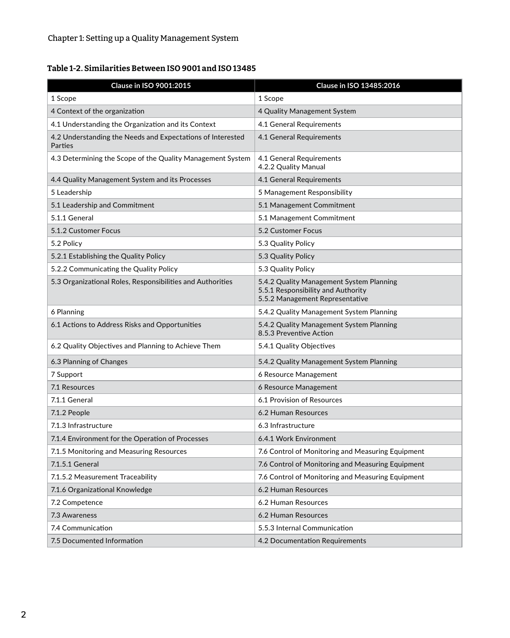### Table 1-2. Similarities Between ISO 9001 and ISO 13485

| Clause in ISO 9001:2015                                               | Clause in ISO 13485:2016                                                                                          |
|-----------------------------------------------------------------------|-------------------------------------------------------------------------------------------------------------------|
| 1 Scope                                                               | 1 Scope                                                                                                           |
| 4 Context of the organization                                         | 4 Quality Management System                                                                                       |
| 4.1 Understanding the Organization and its Context                    | 4.1 General Requirements                                                                                          |
| 4.2 Understanding the Needs and Expectations of Interested<br>Parties | 4.1 General Requirements                                                                                          |
| 4.3 Determining the Scope of the Quality Management System            | 4.1 General Requirements<br>4.2.2 Quality Manual                                                                  |
| 4.4 Quality Management System and its Processes                       | 4.1 General Requirements                                                                                          |
| 5 Leadership                                                          | 5 Management Responsibility                                                                                       |
| 5.1 Leadership and Commitment                                         | 5.1 Management Commitment                                                                                         |
| 5.1.1 General                                                         | 5.1 Management Commitment                                                                                         |
| 5.1.2 Customer Focus                                                  | 5.2 Customer Focus                                                                                                |
| 5.2 Policy                                                            | 5.3 Quality Policy                                                                                                |
| 5.2.1 Establishing the Quality Policy                                 | 5.3 Quality Policy                                                                                                |
| 5.2.2 Communicating the Quality Policy                                | 5.3 Quality Policy                                                                                                |
| 5.3 Organizational Roles, Responsibilities and Authorities            | 5.4.2 Quality Management System Planning<br>5.5.1 Responsibility and Authority<br>5.5.2 Management Representative |
| 6 Planning                                                            | 5.4.2 Quality Management System Planning                                                                          |
| 6.1 Actions to Address Risks and Opportunities                        | 5.4.2 Quality Management System Planning<br>8.5.3 Preventive Action                                               |
| 6.2 Quality Objectives and Planning to Achieve Them                   | 5.4.1 Quality Objectives                                                                                          |
| 6.3 Planning of Changes                                               | 5.4.2 Quality Management System Planning                                                                          |
| 7 Support                                                             | 6 Resource Management                                                                                             |
| 7.1 Resources                                                         | 6 Resource Management                                                                                             |
| 7.1.1 General                                                         | 6.1 Provision of Resources                                                                                        |
| 7.1.2 People                                                          | 6.2 Human Resources                                                                                               |
| 7.1.3 Infrastructure                                                  | 6.3 Infrastructure                                                                                                |
| 7.1.4 Environment for the Operation of Processes                      | 6.4.1 Work Environment                                                                                            |
| 7.1.5 Monitoring and Measuring Resources                              | 7.6 Control of Monitoring and Measuring Equipment                                                                 |
| 7.1.5.1 General                                                       | 7.6 Control of Monitoring and Measuring Equipment                                                                 |
| 7.1.5.2 Measurement Traceability                                      | 7.6 Control of Monitoring and Measuring Equipment                                                                 |
| 7.1.6 Organizational Knowledge                                        | 6.2 Human Resources                                                                                               |
| 7.2 Competence                                                        | 6.2 Human Resources                                                                                               |
| 7.3 Awareness                                                         | 6.2 Human Resources                                                                                               |
| 7.4 Communication                                                     | 5.5.3 Internal Communication                                                                                      |
| 7.5 Documented Information                                            | 4.2 Documentation Requirements                                                                                    |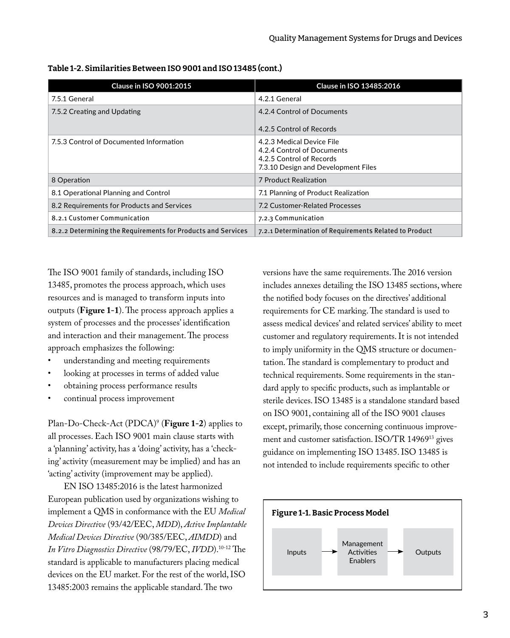| <b>Clause in ISO 9001:2015</b>                               | <b>Clause in ISO 13485:2016</b>                                                                                            |
|--------------------------------------------------------------|----------------------------------------------------------------------------------------------------------------------------|
| 7.5.1 General                                                | 4.2.1 General                                                                                                              |
| 7.5.2 Creating and Updating                                  | 4.2.4 Control of Documents<br>4.2.5 Control of Records                                                                     |
| 7.5.3 Control of Documented Information                      | 4.2.3 Medical Device File<br>4.2.4 Control of Documents<br>4.2.5 Control of Records<br>7.3.10 Design and Development Files |
| 8 Operation                                                  | 7 Product Realization                                                                                                      |
| 8.1 Operational Planning and Control                         | 7.1 Planning of Product Realization                                                                                        |
| 8.2 Requirements for Products and Services                   | 7.2 Customer-Related Processes                                                                                             |
| 8.2.1 Customer Communication                                 | 7.2.3 Communication                                                                                                        |
| 8.2.2 Determining the Requirements for Products and Services | 7.2.1 Determination of Requirements Related to Product                                                                     |

Table 1-2. Similarities Between ISO 9001 and ISO 13485 (cont.)

The ISO 9001 family of standards, including ISO 13485, promotes the process approach, which uses resources and is managed to transform inputs into outputs (**Figure 1-1**). The process approach applies a system of processes and the processes' identification and interaction and their management. The process approach emphasizes the following:

- understanding and meeting requirements
- looking at processes in terms of added value
- obtaining process performance results
- continual process improvement

Plan-Do-Check-Act (PDCA)9 (**Figure 1-2**) applies to all processes. Each ISO 9001 main clause starts with a 'planning' activity, has a 'doing' activity, has a 'checking' activity (measurement may be implied) and has an 'acting' activity (improvement may be applied).

EN ISO 13485:2016 is the latest harmonized European publication used by organizations wishing to implement a QMS in conformance with the EU *Medical Devices Directive* (93/42/EEC, *MDD*), *Active Implantable Medical Devices Directive* (90/385/EEC, *AIMDD*) and *In Vitro Diagnostics Directive* (98/79/EC, *IVDD*).10-12 The standard is applicable to manufacturers placing medical devices on the EU market. For the rest of the world, ISO 13485:2003 remains the applicable standard. The two

versions have the same requirements. The 2016 version includes annexes detailing the ISO 13485 sections, where the notified body focuses on the directives' additional requirements for CE marking. The standard is used to assess medical devices' and related services' ability to meet customer and regulatory requirements. It is not intended to imply uniformity in the QMS structure or documentation. The standard is complementary to product and technical requirements. Some requirements in the standard apply to specific products, such as implantable or sterile devices. ISO 13485 is a standalone standard based on ISO 9001, containing all of the ISO 9001 clauses except, primarily, those concerning continuous improvement and customer satisfaction. ISO/TR 14969<sup>13</sup> gives guidance on implementing ISO 13485. ISO 13485 is not intended to include requirements specific to other

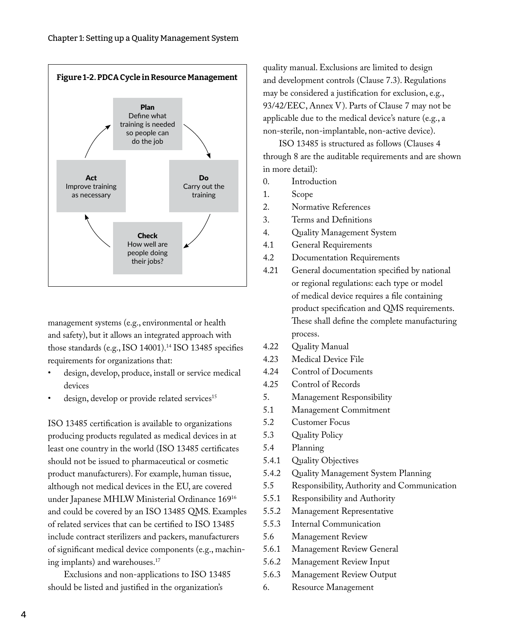

management systems (e.g., environmental or health and safety), but it allows an integrated approach with those standards (e.g., ISO 14001).<sup>14</sup> ISO 13485 specifies requirements for organizations that:

- design, develop, produce, install or service medical devices
- design, develop or provide related services<sup>15</sup>

ISO 13485 certification is available to organizations producing products regulated as medical devices in at least one country in the world (ISO 13485 certificates should not be issued to pharmaceutical or cosmetic product manufacturers). For example, human tissue, although not medical devices in the EU, are covered under Japanese MHLW Ministerial Ordinance 16916 and could be covered by an ISO 13485 QMS. Examples of related services that can be certified to ISO 13485 include contract sterilizers and packers, manufacturers of significant medical device components (e.g., machining implants) and warehouses.<sup>17</sup>

Exclusions and non-applications to ISO 13485 should be listed and justified in the organization's

quality manual. Exclusions are limited to design and development controls (Clause 7.3). Regulations may be considered a justification for exclusion, e.g., 93/42/EEC, Annex V). Parts of Clause 7 may not be applicable due to the medical device's nature (e.g., a non-sterile, non-implantable, non-active device).

ISO 13485 is structured as follows (Clauses 4 through 8 are the auditable requirements and are shown in more detail):

- 0. Introduction
- 1. Scope
- 2. Normative References
- 3. Terms and Definitions
- 4. Quality Management System
- 4.1 General Requirements
- 4.2 Documentation Requirements
- 4.21 General documentation specified by national or regional regulations: each type or model of medical device requires a file containing product specification and QMS requirements. These shall define the complete manufacturing process.
- 4.22 Quality Manual
- 4.23 Medical Device File
- 4.24 Control of Documents
- 4.25 Control of Records
- 5. Management Responsibility
- 5.1 Management Commitment
- 5.2 Customer Focus
- 5.3 Quality Policy
- 5.4 Planning
- 5.4.1 Quality Objectives
- 5.4.2 Quality Management System Planning
- 5.5 Responsibility, Authority and Communication
- 5.5.1 Responsibility and Authority
- 5.5.2 Management Representative
- 5.5.3 Internal Communication
- 5.6 Management Review
- 5.6.1 Management Review General
- 5.6.2 Management Review Input
- 5.6.3 Management Review Output
- 6. Resource Management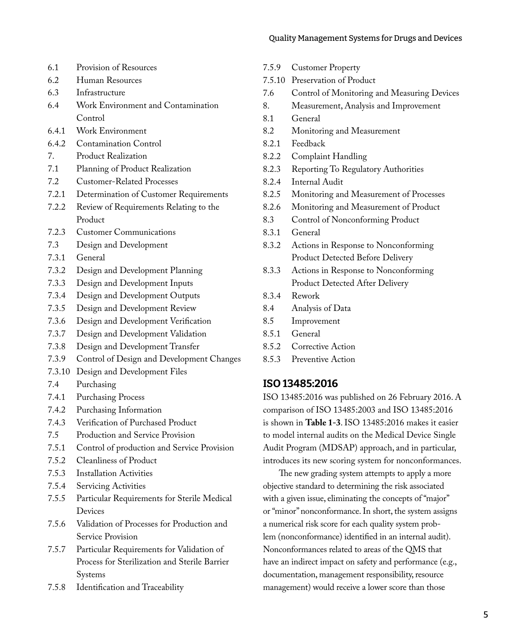- 6.1 Provision of Resources
- 6.2 Human Resources
- 6.3 Infrastructure
- 6.4 Work Environment and Contamination Control
- 6.4.1 Work Environment
- 6.4.2 Contamination Control
- 7. Product Realization
- 7.1 Planning of Product Realization
- 7.2 Customer-Related Processes
- 7.2.1 Determination of Customer Requirements
- 7.2.2 Review of Requirements Relating to the Product
- 7.2.3 Customer Communications
- 7.3 Design and Development
- 7.3.1 General
- 7.3.2 Design and Development Planning
- 7.3.3 Design and Development Inputs
- 7.3.4 Design and Development Outputs
- 7.3.5 Design and Development Review
- 7.3.6 Design and Development Verification
- 7.3.7 Design and Development Validation
- 7.3.8 Design and Development Transfer
- 7.3.9 Control of Design and Development Changes
- 7.3.10 Design and Development Files
- 7.4 Purchasing
- 7.4.1 Purchasing Process
- 7.4.2 Purchasing Information
- 7.4.3 Verification of Purchased Product
- 7.5 Production and Service Provision
- 7.5.1 Control of production and Service Provision
- 7.5.2 Cleanliness of Product
- 7.5.3 Installation Activities
- 7.5.4 Servicing Activities
- 7.5.5 Particular Requirements for Sterile Medical Devices
- 7.5.6 Validation of Processes for Production and Service Provision
- 7.5.7 Particular Requirements for Validation of Process for Sterilization and Sterile Barrier Systems
- 7.5.8 Identification and Traceability
- 7.5.9 Customer Property
- 7.5.10 Preservation of Product
- 7.6 Control of Monitoring and Measuring Devices
- 8. Measurement, Analysis and Improvement
- 8.1 General
- 8.2 Monitoring and Measurement
- 8.2.1 Feedback
- 8.2.2 Complaint Handling
- 8.2.3 Reporting To Regulatory Authorities
- 8.2.4 Internal Audit
- 8.2.5 Monitoring and Measurement of Processes
- 8.2.6 Monitoring and Measurement of Product
- 8.3 Control of Nonconforming Product
- 8.3.1 General
- 8.3.2 Actions in Response to Nonconforming Product Detected Before Delivery
- 8.3.3 Actions in Response to Nonconforming Product Detected After Delivery
- 8.3.4 Rework
- 8.4 Analysis of Data
- 8.5 Improvement
- 8.5.1 General
- 8.5.2 Corrective Action
- 8.5.3 Preventive Action

### ISO 13485:2016

ISO 13485:2016 was published on 26 February 2016. A comparison of ISO 13485:2003 and ISO 13485:2016 is shown in **Table 1-3**. ISO 13485:2016 makes it easier to model internal audits on the Medical Device Single Audit Program (MDSAP) approach, and in particular, introduces its new scoring system for nonconformances.

The new grading system attempts to apply a more objective standard to determining the risk associated with a given issue, eliminating the concepts of "major" or "minor" nonconformance. In short, the system assigns a numerical risk score for each quality system problem (nonconformance) identified in an internal audit). Nonconformances related to areas of the QMS that have an indirect impact on safety and performance (e.g., documentation, management responsibility, resource management) would receive a lower score than those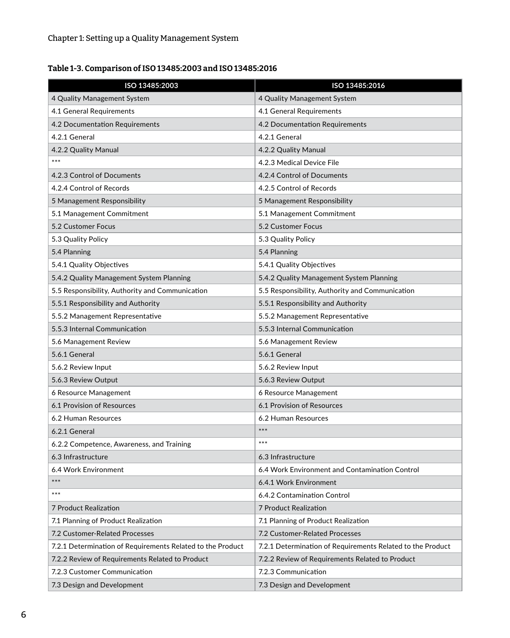### Table 1-3. Comparison of ISO 13485:2003 and ISO 13485:2016

| ISO 13485:2003                                             | ISO 13485:2016                                             |
|------------------------------------------------------------|------------------------------------------------------------|
| 4 Quality Management System                                | 4 Quality Management System                                |
| 4.1 General Requirements                                   | 4.1 General Requirements                                   |
| 4.2 Documentation Requirements                             | 4.2 Documentation Requirements                             |
| 4.2.1 General                                              | 4.2.1 General                                              |
| 4.2.2 Quality Manual                                       | 4.2.2 Quality Manual                                       |
| $***$                                                      | 4.2.3 Medical Device File                                  |
| 4.2.3 Control of Documents                                 | 4.2.4 Control of Documents                                 |
| 4.2.4 Control of Records                                   | 4.2.5 Control of Records                                   |
| 5 Management Responsibility                                | 5 Management Responsibility                                |
| 5.1 Management Commitment                                  | 5.1 Management Commitment                                  |
| 5.2 Customer Focus                                         | 5.2 Customer Focus                                         |
| 5.3 Quality Policy                                         | 5.3 Quality Policy                                         |
| 5.4 Planning                                               | 5.4 Planning                                               |
| 5.4.1 Quality Objectives                                   | 5.4.1 Quality Objectives                                   |
| 5.4.2 Quality Management System Planning                   | 5.4.2 Quality Management System Planning                   |
| 5.5 Responsibility, Authority and Communication            | 5.5 Responsibility, Authority and Communication            |
| 5.5.1 Responsibility and Authority                         | 5.5.1 Responsibility and Authority                         |
| 5.5.2 Management Representative                            | 5.5.2 Management Representative                            |
| 5.5.3 Internal Communication                               | 5.5.3 Internal Communication                               |
| 5.6 Management Review                                      | 5.6 Management Review                                      |
| 5.6.1 General                                              | 5.6.1 General                                              |
| 5.6.2 Review Input                                         | 5.6.2 Review Input                                         |
| 5.6.3 Review Output                                        | 5.6.3 Review Output                                        |
| 6 Resource Management                                      | 6 Resource Management                                      |
| 6.1 Provision of Resources                                 | 6.1 Provision of Resources                                 |
| 6.2 Human Resources                                        | 6.2 Human Resources                                        |
| 6.2.1 General                                              | $***$                                                      |
| 6.2.2 Competence, Awareness, and Training                  | $***$                                                      |
| 6.3 Infrastructure                                         | 6.3 Infrastructure                                         |
| 6.4 Work Environment                                       | 6.4 Work Environment and Contamination Control             |
| $***$                                                      | 6.4.1 Work Environment                                     |
| $***$                                                      | 6.4.2 Contamination Control                                |
| <b>7 Product Realization</b>                               | 7 Product Realization                                      |
| 7.1 Planning of Product Realization                        | 7.1 Planning of Product Realization                        |
| 7.2 Customer-Related Processes                             | 7.2 Customer-Related Processes                             |
| 7.2.1 Determination of Requirements Related to the Product | 7.2.1 Determination of Requirements Related to the Product |
| 7.2.2 Review of Requirements Related to Product            | 7.2.2 Review of Requirements Related to Product            |
| 7.2.3 Customer Communication                               | 7.2.3 Communication                                        |
| 7.3 Design and Development                                 | 7.3 Design and Development                                 |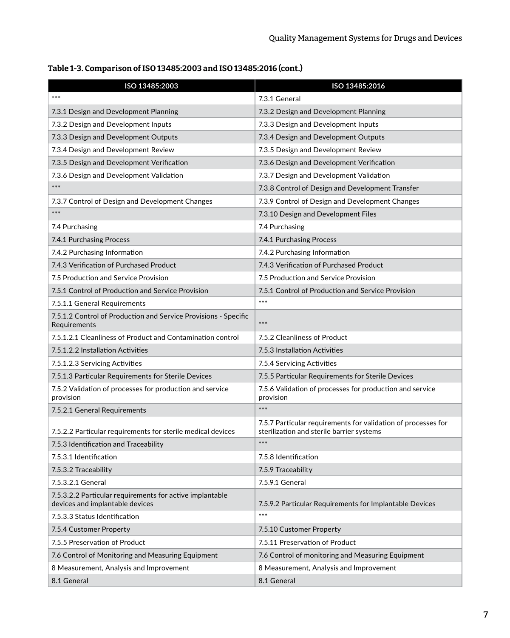| Table 1-3. Comparison of ISO 13485:2003 and ISO 13485:2016 (cont.) |  |
|--------------------------------------------------------------------|--|
|                                                                    |  |

| ISO 13485:2003                                                                              | ISO 13485:2016                                                                                             |
|---------------------------------------------------------------------------------------------|------------------------------------------------------------------------------------------------------------|
| $***$                                                                                       | 7.3.1 General                                                                                              |
| 7.3.1 Design and Development Planning                                                       | 7.3.2 Design and Development Planning                                                                      |
| 7.3.2 Design and Development Inputs                                                         | 7.3.3 Design and Development Inputs                                                                        |
| 7.3.3 Design and Development Outputs                                                        | 7.3.4 Design and Development Outputs                                                                       |
| 7.3.4 Design and Development Review                                                         | 7.3.5 Design and Development Review                                                                        |
| 7.3.5 Design and Development Verification                                                   | 7.3.6 Design and Development Verification                                                                  |
| 7.3.6 Design and Development Validation                                                     | 7.3.7 Design and Development Validation                                                                    |
| $***$                                                                                       | 7.3.8 Control of Design and Development Transfer                                                           |
| 7.3.7 Control of Design and Development Changes                                             | 7.3.9 Control of Design and Development Changes                                                            |
| $***$                                                                                       | 7.3.10 Design and Development Files                                                                        |
| 7.4 Purchasing                                                                              | 7.4 Purchasing                                                                                             |
| 7.4.1 Purchasing Process                                                                    | 7.4.1 Purchasing Process                                                                                   |
| 7.4.2 Purchasing Information                                                                | 7.4.2 Purchasing Information                                                                               |
| 7.4.3 Verification of Purchased Product                                                     | 7.4.3 Verification of Purchased Product                                                                    |
| 7.5 Production and Service Provision                                                        | 7.5 Production and Service Provision                                                                       |
| 7.5.1 Control of Production and Service Provision                                           | 7.5.1 Control of Production and Service Provision                                                          |
| 7.5.1.1 General Requirements                                                                | $***$                                                                                                      |
| 7.5.1.2 Control of Production and Service Provisions - Specific<br>Requirements             | $***$                                                                                                      |
| 7.5.1.2.1 Cleanliness of Product and Contamination control                                  | 7.5.2 Cleanliness of Product                                                                               |
| 7.5.1.2.2 Installation Activities                                                           | 7.5.3 Installation Activities                                                                              |
| 7.5.1.2.3 Servicing Activities                                                              | 7.5.4 Servicing Activities                                                                                 |
| 7.5.1.3 Particular Requirements for Sterile Devices                                         | 7.5.5 Particular Requirements for Sterile Devices                                                          |
| 7.5.2 Validation of processes for production and service<br>provision                       | 7.5.6 Validation of processes for production and service<br>provision                                      |
| 7.5.2.1 General Requirements                                                                | $***$                                                                                                      |
| 7.5.2.2 Particular requirements for sterile medical devices                                 | 7.5.7 Particular requirements for validation of processes for<br>sterilization and sterile barrier systems |
| 7.5.3 Identification and Traceability                                                       | $***$                                                                                                      |
| 7.5.3.1 Identification                                                                      | 7.5.8 Identification                                                                                       |
| 7.5.3.2 Traceability                                                                        | 7.5.9 Traceability                                                                                         |
| 7.5.3.2.1 General                                                                           | 7.5.9.1 General                                                                                            |
| 7.5.3.2.2 Particular requirements for active implantable<br>devices and implantable devices | 7.5.9.2 Particular Requirements for Implantable Devices                                                    |
| 7.5.3.3 Status Identification                                                               | $***$                                                                                                      |
| 7.5.4 Customer Property                                                                     | 7.5.10 Customer Property                                                                                   |
| 7.5.5 Preservation of Product                                                               | 7.5.11 Preservation of Product                                                                             |
| 7.6 Control of Monitoring and Measuring Equipment                                           | 7.6 Control of monitoring and Measuring Equipment                                                          |
| 8 Measurement, Analysis and Improvement                                                     | 8 Measurement, Analysis and Improvement                                                                    |
| 8.1 General                                                                                 | 8.1 General                                                                                                |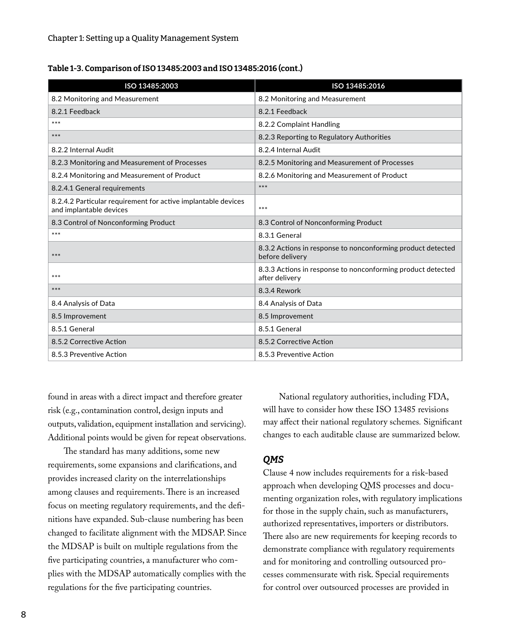| Table 1-3. Comparison of ISO 13485:2003 and ISO 13485:2016 (cont.) |  |
|--------------------------------------------------------------------|--|
|--------------------------------------------------------------------|--|

| ISO 13485:2003                                                                           | ISO 13485:2016                                                                 |
|------------------------------------------------------------------------------------------|--------------------------------------------------------------------------------|
| 8.2 Monitoring and Measurement                                                           | 8.2 Monitoring and Measurement                                                 |
| 8.2.1 Feedback                                                                           | 8.2.1 Feedback                                                                 |
| $***$                                                                                    | 8.2.2 Complaint Handling                                                       |
| $***$                                                                                    | 8.2.3 Reporting to Regulatory Authorities                                      |
| 8.2.2 Internal Audit                                                                     | 8.2.4 Internal Audit                                                           |
| 8.2.3 Monitoring and Measurement of Processes                                            | 8.2.5 Monitoring and Measurement of Processes                                  |
| 8.2.4 Monitoring and Measurement of Product                                              | 8.2.6 Monitoring and Measurement of Product                                    |
| 8.2.4.1 General requirements                                                             | $***$                                                                          |
| 8.2.4.2 Particular requirement for active implantable devices<br>and implantable devices | ***                                                                            |
| 8.3 Control of Nonconforming Product                                                     | 8.3 Control of Nonconforming Product                                           |
| $***$                                                                                    | 8.3.1 General                                                                  |
| ***                                                                                      | 8.3.2 Actions in response to nonconforming product detected<br>before delivery |
| $***$                                                                                    | 8.3.3 Actions in response to nonconforming product detected<br>after delivery  |
| $***$                                                                                    | 8.3.4 Rework                                                                   |
| 8.4 Analysis of Data                                                                     | 8.4 Analysis of Data                                                           |
| 8.5 Improvement                                                                          | 8.5 Improvement                                                                |
| 8.5.1 General                                                                            | 8.5.1 General                                                                  |
| 8.5.2 Corrective Action                                                                  | 8.5.2 Corrective Action                                                        |
| 8.5.3 Preventive Action                                                                  | 8.5.3 Preventive Action                                                        |

found in areas with a direct impact and therefore greater risk (e.g., contamination control, design inputs and outputs, validation, equipment installation and servicing). Additional points would be given for repeat observations.

The standard has many additions, some new requirements, some expansions and clarifications, and provides increased clarity on the interrelationships among clauses and requirements. There is an increased focus on meeting regulatory requirements, and the definitions have expanded. Sub-clause numbering has been changed to facilitate alignment with the MDSAP. Since the MDSAP is built on multiple regulations from the five participating countries, a manufacturer who complies with the MDSAP automatically complies with the regulations for the five participating countries.

National regulatory authorities, including FDA, will have to consider how these ISO 13485 revisions may affect their national regulatory schemes*.* Significant changes to each auditable clause are summarized below.

#### *QMS*

Clause 4 now includes requirements for a risk-based approach when developing QMS processes and documenting organization roles, with regulatory implications for those in the supply chain, such as manufacturers, authorized representatives, importers or distributors. There also are new requirements for keeping records to demonstrate compliance with regulatory requirements and for monitoring and controlling outsourced processes commensurate with risk. Special requirements for control over outsourced processes are provided in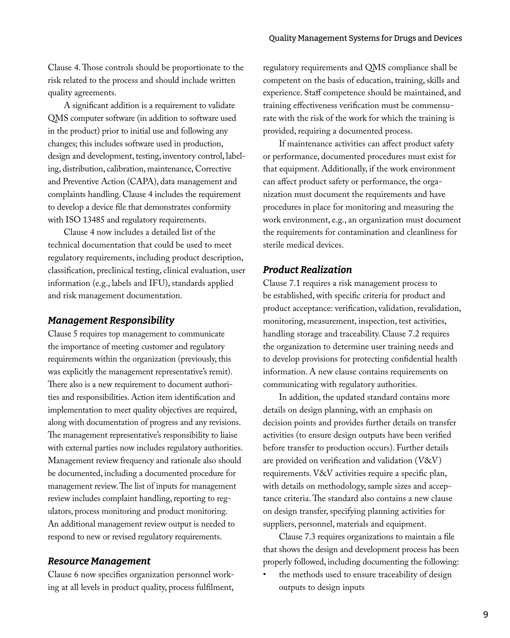Clause 4. Those controls should be proportionate to the risk related to the process and should include written quality agreements.

A significant addition is a requirement to validate QMS computer software (in addition to software used in the product) prior to initial use and following any changes; this includes software used in production, design and development, testing, inventory control, labeling, distribution, calibration, maintenance, Corrective and Preventive Action (CAPA), data management and complaints handling. Clause 4 includes the requirement to develop a device file that demonstrates conformity with ISO 13485 and regulatory requirements.

Clause 4 now includes a detailed list of the technical documentation that could be used to meet regulatory requirements, including product description, classification, preclinical testing, clinical evaluation, user information (e.g., labels and IFU), standards applied and risk management documentation.

#### *Management Responsibility*

Clause 5 requires top management to communicate the importance of meeting customer and regulatory requirements within the organization (previously, this was explicitly the management representative's remit). There also is a new requirement to document authorities and responsibilities. Action item identification and implementation to meet quality objectives are required, along with documentation of progress and any revisions. The management representative's responsibility to liaise with external parties now includes regulatory authorities. Management review frequency and rationale also should be documented, including a documented procedure for management review. The list of inputs for management review includes complaint handling, reporting to regulators, process monitoring and product monitoring. An additional management review output is needed to respond to new or revised regulatory requirements.

#### *Resource Management*

Clause 6 now specifies organization personnel working at all levels in product quality, process fulfilment, regulatory requirements and QMS compliance shall be competent on the basis of education, training, skills and experience. Staff competence should be maintained, and training effectiveness verification must be commensurate with the risk of the work for which the training is provided, requiring a documented process.

If maintenance activities can affect product safety or performance, documented procedures must exist for that equipment. Additionally, if the work environment can affect product safety or performance, the organization must document the requirements and have procedures in place for monitoring and measuring the work environment, e.g., an organization must document the requirements for contamination and cleanliness for sterile medical devices.

### *Product Realization*

Clause 7.1 requires a risk management process to be established, with specific criteria for product and product acceptance: verification, validation, revalidation, monitoring, measurement, inspection, test activities, handling storage and traceability. Clause 7.2 requires the organization to determine user training needs and to develop provisions for protecting confidential health information. A new clause contains requirements on communicating with regulatory authorities.

In addition, the updated standard contains more details on design planning, with an emphasis on decision points and provides further details on transfer activities (to ensure design outputs have been verified before transfer to production occurs). Further details are provided on verification and validation (V&V) requirements. V&V activities require a specific plan, with details on methodology, sample sizes and acceptance criteria. The standard also contains a new clause on design transfer, specifying planning activities for suppliers, personnel, materials and equipment.

Clause 7.3 requires organizations to maintain a file that shows the design and development process has been properly followed, including documenting the following:

• the methods used to ensure traceability of design outputs to design inputs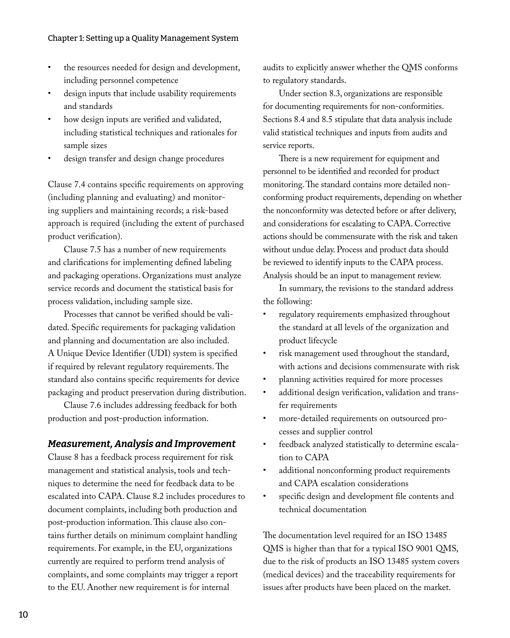- the resources needed for design and development, including personnel competence
- design inputs that include usability requirements and standards
- how design inputs are verified and validated, including statistical techniques and rationales for sample sizes
- design transfer and design change procedures

Clause 7.4 contains specific requirements on approving (including planning and evaluating) and monitoring suppliers and maintaining records; a risk-based approach is required (including the extent of purchased product verification).

Clause 7.5 has a number of new requirements and clarifications for implementing defined labeling and packaging operations. Organizations must analyze service records and document the statistical basis for process validation, including sample size.

Processes that cannot be verified should be validated. Specific requirements for packaging validation and planning and documentation are also included. A Unique Device Identifier (UDI) system is specified if required by relevant regulatory requirements. The standard also contains specific requirements for device packaging and product preservation during distribution.

Clause 7.6 includes addressing feedback for both production and post-production information.

### *Measurement, Analysis and Improvement*

Clause 8 has a feedback process requirement for risk management and statistical analysis, tools and techniques to determine the need for feedback data to be escalated into CAPA. Clause 8.2 includes procedures to document complaints, including both production and post-production information. This clause also contains further details on minimum complaint handling requirements. For example, in the EU, organizations currently are required to perform trend analysis of complaints, and some complaints may trigger a report to the EU. Another new requirement is for internal

audits to explicitly answer whether the QMS conforms to regulatory standards.

Under section 8.3, organizations are responsible for documenting requirements for non-conformities. Sections 8.4 and 8.5 stipulate that data analysis include valid statistical techniques and inputs from audits and service reports.

There is a new requirement for equipment and personnel to be identified and recorded for product monitoring. The standard contains more detailed nonconforming product requirements, depending on whether the nonconformity was detected before or after delivery, and considerations for escalating to CAPA. Corrective actions should be commensurate with the risk and taken without undue delay. Process and product data should be reviewed to identify inputs to the CAPA process. Analysis should be an input to management review.

In summary, the revisions to the standard address the following:

- regulatory requirements emphasized throughout the standard at all levels of the organization and product lifecycle
- risk management used throughout the standard, with actions and decisions commensurate with risk
- planning activities required for more processes
- additional design verification, validation and transfer requirements
- more-detailed requirements on outsourced processes and supplier control
- feedback analyzed statistically to determine escalation to CAPA
- additional nonconforming product requirements and CAPA escalation considerations
- specific design and development file contents and technical documentation

The documentation level required for an ISO 13485 QMS is higher than that for a typical ISO 9001 QMS, due to the risk of products an ISO 13485 system covers (medical devices) and the traceability requirements for issues after products have been placed on the market.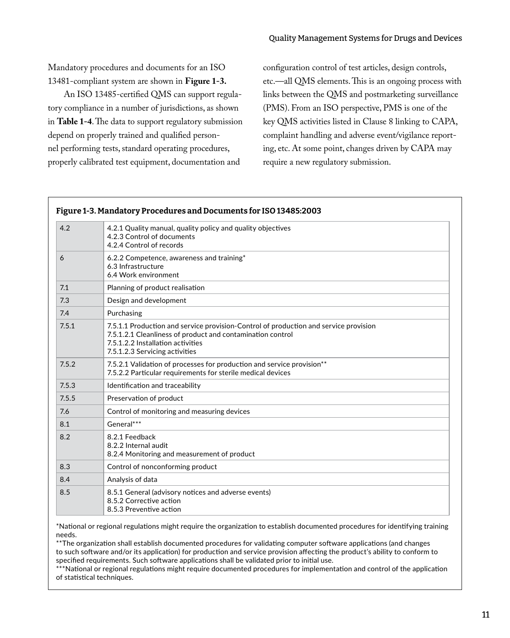#### Quality Management Systems for Drugs and Devices

Mandatory procedures and documents for an ISO 13481-compliant system are shown in **Figure 1-3.**

An ISO 13485-certified QMS can support regulatory compliance in a number of jurisdictions, as shown in **Table 1-4**. The data to support regulatory submission depend on properly trained and qualified personnel performing tests, standard operating procedures, properly calibrated test equipment, documentation and

configuration control of test articles, design controls, etc.—all QMS elements. This is an ongoing process with links between the QMS and postmarketing surveillance (PMS). From an ISO perspective, PMS is one of the key QMS activities listed in Clause 8 linking to CAPA, complaint handling and adverse event/vigilance reporting, etc. At some point, changes driven by CAPA may require a new regulatory submission.

| 4.2   | 4.2.1 Quality manual, quality policy and quality objectives<br>4.2.3 Control of documents<br>4.2.4 Control of records                                                                                                     |  |
|-------|---------------------------------------------------------------------------------------------------------------------------------------------------------------------------------------------------------------------------|--|
| 6     | 6.2.2 Competence, awareness and training*<br>6.3 Infrastructure<br>6.4 Work environment                                                                                                                                   |  |
| 7.1   | Planning of product realisation                                                                                                                                                                                           |  |
| 7.3   | Design and development                                                                                                                                                                                                    |  |
| 7.4   | Purchasing                                                                                                                                                                                                                |  |
| 7.5.1 | 7.5.1.1 Production and service provision-Control of production and service provision<br>7.5.1.2.1 Cleanliness of product and contamination control<br>7.5.1.2.2 Installation activities<br>7.5.1.2.3 Servicing activities |  |
| 7.5.2 | 7.5.2.1 Validation of processes for production and service provision**<br>7.5.2.2 Particular requirements for sterile medical devices                                                                                     |  |
| 7.5.3 | Identification and traceability                                                                                                                                                                                           |  |
| 7.5.5 | Preservation of product                                                                                                                                                                                                   |  |
| 7.6   | Control of monitoring and measuring devices                                                                                                                                                                               |  |
| 8.1   | General***                                                                                                                                                                                                                |  |
| 8.2   | 8.2.1 Feedback<br>8.2.2 Internal audit<br>8.2.4 Monitoring and measurement of product                                                                                                                                     |  |
| 8.3   | Control of nonconforming product                                                                                                                                                                                          |  |
| 8.4   | Analysis of data                                                                                                                                                                                                          |  |
| 8.5   | 8.5.1 General (advisory notices and adverse events)<br>8.5.2 Corrective action<br>8.5.3 Preventive action                                                                                                                 |  |

\*National or regional regulations might require the organization to establish documented procedures for identifying training needs.

\*\*The organization shall establish documented procedures for validating computer software applications (and changes to such software and/or its application) for production and service provision affecting the product's ability to conform to specified requirements. Such software applications shall be validated prior to initial use.

\*\*\*National or regional regulations might require documented procedures for implementation and control of the application of statistical techniques.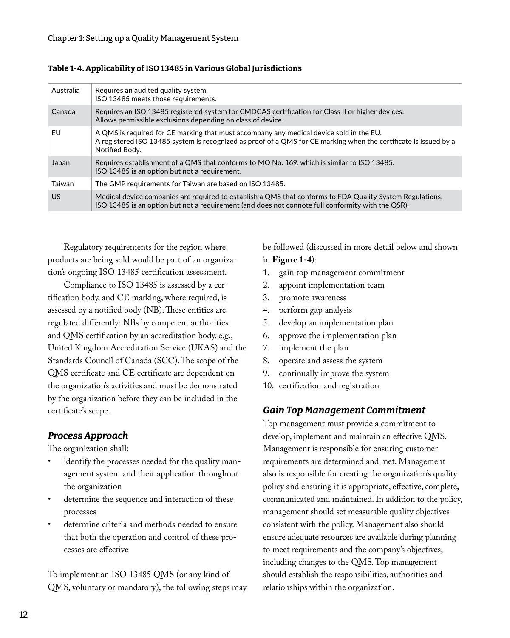| Australia | Requires an audited quality system.<br>ISO 13485 meets those requirements.                                                                                                                                                    |
|-----------|-------------------------------------------------------------------------------------------------------------------------------------------------------------------------------------------------------------------------------|
| Canada    | Requires an ISO 13485 registered system for CMDCAS certification for Class II or higher devices.<br>Allows permissible exclusions depending on class of device.                                                               |
| EU        | A QMS is required for CE marking that must accompany any medical device sold in the EU.<br>A registered ISO 13485 system is recognized as proof of a QMS for CE marking when the certificate is issued by a<br>Notified Body. |
| Japan     | Requires establishment of a QMS that conforms to MO No. 169, which is similar to ISO 13485.<br>ISO 13485 is an option but not a requirement.                                                                                  |
| Taiwan    | The GMP requirements for Taiwan are based on ISO 13485.                                                                                                                                                                       |
| US        | Medical device companies are required to establish a QMS that conforms to FDA Quality System Regulations.<br>ISO 13485 is an option but not a requirement (and does not connote full conformity with the QSR).                |

Table 1-4. Applicability of ISO 13485 in Various Global Jurisdictions

Regulatory requirements for the region where products are being sold would be part of an organization's ongoing ISO 13485 certification assessment.

Compliance to ISO 13485 is assessed by a certification body, and CE marking, where required, is assessed by a notified body (NB). These entities are regulated differently: NBs by competent authorities and QMS certification by an accreditation body, e.g., United Kingdom Accreditation Service (UKAS) and the Standards Council of Canada (SCC). The scope of the QMS certificate and CE certificate are dependent on the organization's activities and must be demonstrated by the organization before they can be included in the certificate's scope.

### *Process Approach*

The organization shall:

- identify the processes needed for the quality management system and their application throughout the organization
- determine the sequence and interaction of these processes
- determine criteria and methods needed to ensure that both the operation and control of these processes are effective

To implement an ISO 13485 QMS (or any kind of QMS, voluntary or mandatory), the following steps may be followed (discussed in more detail below and shown in **Figure 1-4**):

- 1. gain top management commitment
- 2. appoint implementation team
- 3. promote awareness
- 4. perform gap analysis
- 5. develop an implementation plan
- 6. approve the implementation plan
- 7. implement the plan
- 8. operate and assess the system
- 9. continually improve the system
- 10. certification and registration

### *Gain Top Management Commitment*

Top management must provide a commitment to develop, implement and maintain an effective QMS. Management is responsible for ensuring customer requirements are determined and met. Management also is responsible for creating the organization's quality policy and ensuring it is appropriate, effective, complete, communicated and maintained. In addition to the policy, management should set measurable quality objectives consistent with the policy. Management also should ensure adequate resources are available during planning to meet requirements and the company's objectives, including changes to the QMS. Top management should establish the responsibilities, authorities and relationships within the organization.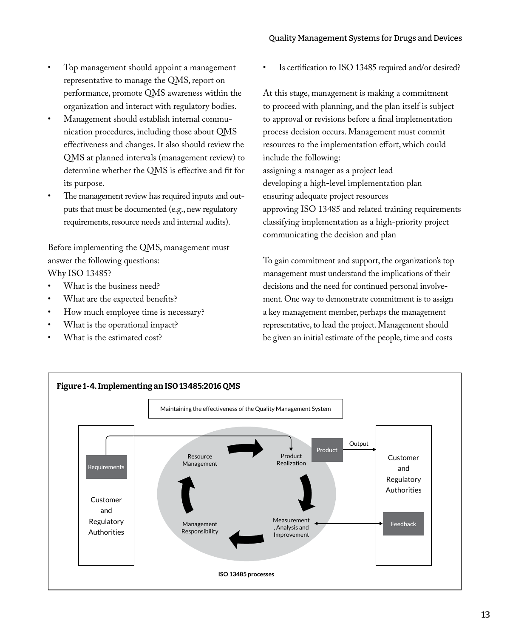- Top management should appoint a management representative to manage the QMS, report on performance, promote QMS awareness within the organization and interact with regulatory bodies.
- Management should establish internal communication procedures, including those about QMS effectiveness and changes. It also should review the QMS at planned intervals (management review) to determine whether the QMS is effective and fit for its purpose.
- The management review has required inputs and outputs that must be documented (e.g., new regulatory requirements, resource needs and internal audits).

Before implementing the QMS, management must answer the following questions: Why ISO 13485?

- What is the business need?
- What are the expected benefits?
- How much employee time is necessary?
- What is the operational impact?
- What is the estimated cost?

Is certification to ISO 13485 required and/or desired?

At this stage, management is making a commitment to proceed with planning, and the plan itself is subject to approval or revisions before a final implementation process decision occurs. Management must commit resources to the implementation effort, which could include the following: assigning a manager as a project lead developing a high-level implementation plan ensuring adequate project resources approving ISO 13485 and related training requirements classifying implementation as a high-priority project communicating the decision and plan

To gain commitment and support, the organization's top management must understand the implications of their decisions and the need for continued personal involvement. One way to demonstrate commitment is to assign a key management member, perhaps the management representative, to lead the project. Management should be given an initial estimate of the people, time and costs

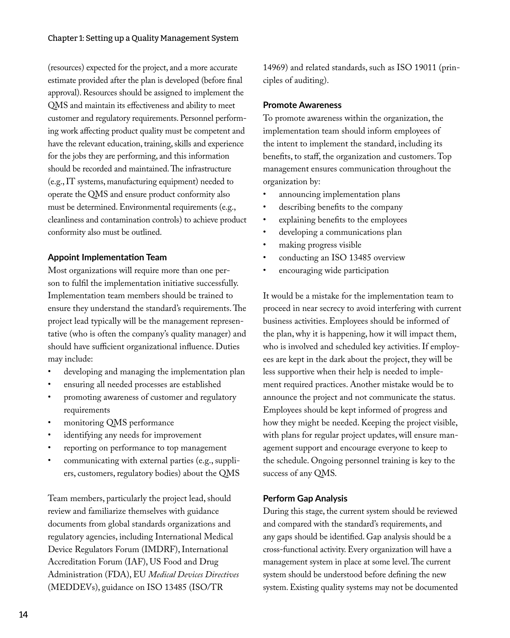(resources) expected for the project, and a more accurate estimate provided after the plan is developed (before final approval). Resources should be assigned to implement the QMS and maintain its effectiveness and ability to meet customer and regulatory requirements. Personnel performing work affecting product quality must be competent and have the relevant education, training, skills and experience for the jobs they are performing, and this information should be recorded and maintained. The infrastructure (e.g., IT systems, manufacturing equipment) needed to operate the QMS and ensure product conformity also must be determined. Environmental requirements (e.g., cleanliness and contamination controls) to achieve product conformity also must be outlined.

#### **Appoint Implementation Team**

Most organizations will require more than one person to fulfil the implementation initiative successfully. Implementation team members should be trained to ensure they understand the standard's requirements. The project lead typically will be the management representative (who is often the company's quality manager) and should have sufficient organizational influence. Duties may include:

- developing and managing the implementation plan
- ensuring all needed processes are established
- promoting awareness of customer and regulatory requirements
- monitoring QMS performance
- identifying any needs for improvement
- reporting on performance to top management
- communicating with external parties (e.g., suppliers, customers, regulatory bodies) about the QMS

Team members, particularly the project lead, should review and familiarize themselves with guidance documents from global standards organizations and regulatory agencies, including International Medical Device Regulators Forum (IMDRF), International Accreditation Forum (IAF), US Food and Drug Administration (FDA), EU *Medical Devices Directives* (MEDDEVs), guidance on ISO 13485 (ISO/TR

14969) and related standards, such as ISO 19011 (principles of auditing).

#### **Promote Awareness**

To promote awareness within the organization, the implementation team should inform employees of the intent to implement the standard, including its benefits, to staff, the organization and customers. Top management ensures communication throughout the organization by:

- announcing implementation plans
- describing benefits to the company
- explaining benefits to the employees
- developing a communications plan
- making progress visible
- conducting an ISO 13485 overview
- encouraging wide participation

It would be a mistake for the implementation team to proceed in near secrecy to avoid interfering with current business activities. Employees should be informed of the plan, why it is happening, how it will impact them, who is involved and scheduled key activities. If employees are kept in the dark about the project, they will be less supportive when their help is needed to implement required practices. Another mistake would be to announce the project and not communicate the status. Employees should be kept informed of progress and how they might be needed. Keeping the project visible, with plans for regular project updates, will ensure management support and encourage everyone to keep to the schedule. Ongoing personnel training is key to the success of any QMS.

#### **Perform Gap Analysis**

During this stage, the current system should be reviewed and compared with the standard's requirements, and any gaps should be identified. Gap analysis should be a cross-functional activity. Every organization will have a management system in place at some level. The current system should be understood before defining the new system. Existing quality systems may not be documented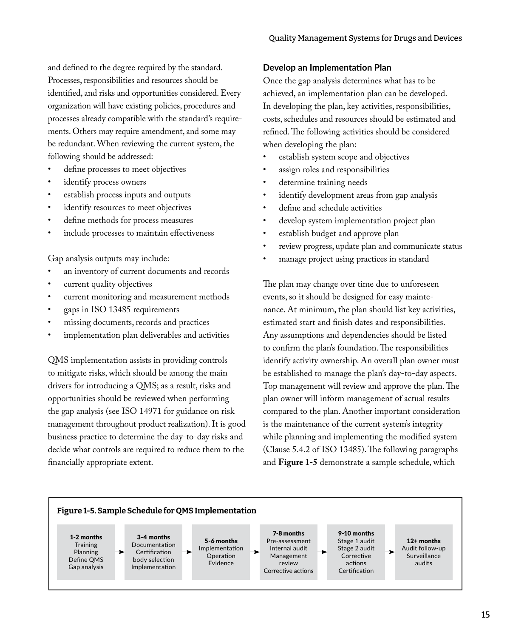and defined to the degree required by the standard. Processes, responsibilities and resources should be identified, and risks and opportunities considered. Every organization will have existing policies, procedures and processes already compatible with the standard's requirements. Others may require amendment, and some may be redundant. When reviewing the current system, the following should be addressed:

- define processes to meet objectives
- identify process owners
- establish process inputs and outputs
- identify resources to meet objectives
- define methods for process measures
- include processes to maintain effectiveness

Gap analysis outputs may include:

- an inventory of current documents and records
- current quality objectives
- current monitoring and measurement methods
- gaps in ISO 13485 requirements
- missing documents, records and practices
- implementation plan deliverables and activities

QMS implementation assists in providing controls to mitigate risks, which should be among the main drivers for introducing a QMS; as a result, risks and opportunities should be reviewed when performing the gap analysis (see ISO 14971 for guidance on risk management throughout product realization). It is good business practice to determine the day-to-day risks and decide what controls are required to reduce them to the financially appropriate extent.

#### **Develop an Implementation Plan**

Once the gap analysis determines what has to be achieved, an implementation plan can be developed. In developing the plan, key activities, responsibilities, costs, schedules and resources should be estimated and refined. The following activities should be considered when developing the plan:

- establish system scope and objectives
- assign roles and responsibilities
- determine training needs
- identify development areas from gap analysis
- define and schedule activities
- develop system implementation project plan
- establish budget and approve plan
- review progress, update plan and communicate status
- manage project using practices in standard

The plan may change over time due to unforeseen events, so it should be designed for easy maintenance. At minimum, the plan should list key activities, estimated start and finish dates and responsibilities. Any assumptions and dependencies should be listed to confirm the plan's foundation. The responsibilities identify activity ownership. An overall plan owner must be established to manage the plan's day-to-day aspects. Top management will review and approve the plan. The plan owner will inform management of actual results compared to the plan. Another important consideration is the maintenance of the current system's integrity while planning and implementing the modified system (Clause 5.4.2 of ISO 13485). The following paragraphs and **Figure 1-5** demonstrate a sample schedule, which

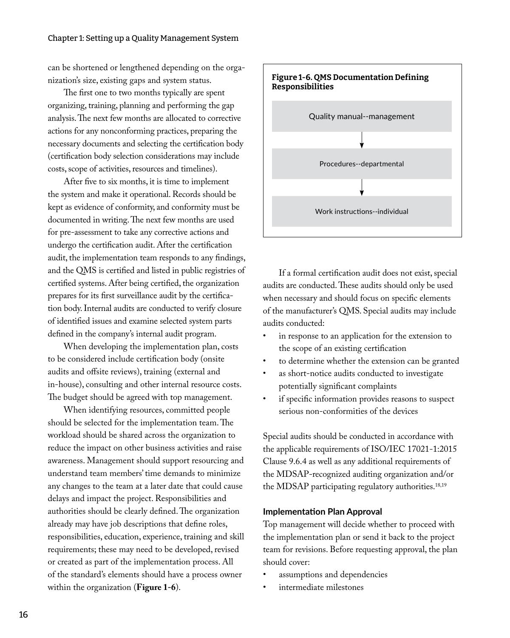can be shortened or lengthened depending on the organization's size, existing gaps and system status.

The first one to two months typically are spent organizing, training, planning and performing the gap analysis. The next few months are allocated to corrective actions for any nonconforming practices, preparing the necessary documents and selecting the certification body (certification body selection considerations may include costs, scope of activities, resources and timelines).

After five to six months, it is time to implement the system and make it operational. Records should be kept as evidence of conformity, and conformity must be documented in writing. The next few months are used for pre-assessment to take any corrective actions and undergo the certification audit. After the certification audit, the implementation team responds to any findings, and the QMS is certified and listed in public registries of certified systems. After being certified, the organization prepares for its first surveillance audit by the certification body. Internal audits are conducted to verify closure of identified issues and examine selected system parts defined in the company's internal audit program.

When developing the implementation plan, costs to be considered include certification body (onsite audits and offsite reviews), training (external and in-house), consulting and other internal resource costs. The budget should be agreed with top management.

When identifying resources, committed people should be selected for the implementation team. The workload should be shared across the organization to reduce the impact on other business activities and raise awareness. Management should support resourcing and understand team members' time demands to minimize any changes to the team at a later date that could cause delays and impact the project. Responsibilities and authorities should be clearly defined. The organization already may have job descriptions that define roles, responsibilities, education, experience, training and skill requirements; these may need to be developed, revised or created as part of the implementation process. All of the standard's elements should have a process owner within the organization (**Figure 1-6**).



If a formal certification audit does not exist, special audits are conducted. These audits should only be used when necessary and should focus on specific elements of the manufacturer's QMS. Special audits may include audits conducted:

- in response to an application for the extension to the scope of an existing certification
- to determine whether the extension can be granted
- as short-notice audits conducted to investigate potentially significant complaints
- if specific information provides reasons to suspect serious non-conformities of the devices

Special audits should be conducted in accordance with the applicable requirements of ISO/IEC 17021-1:2015 Clause 9.6.4 as well as any additional requirements of the MDSAP-recognized auditing organization and/or the MDSAP participating regulatory authorities.<sup>18,19</sup>

#### **Implementation Plan Approval**

Top management will decide whether to proceed with the implementation plan or send it back to the project team for revisions. Before requesting approval, the plan should cover:

- assumptions and dependencies
- intermediate milestones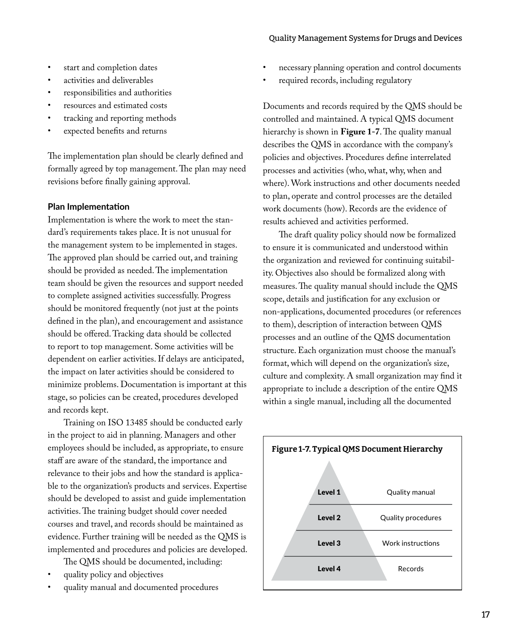#### Quality Management Systems for Drugs and Devices

- start and completion dates
- activities and deliverables
- responsibilities and authorities
- resources and estimated costs
- tracking and reporting methods
- expected benefits and returns

The implementation plan should be clearly defined and formally agreed by top management. The plan may need revisions before finally gaining approval.

#### **Plan Implementation**

Implementation is where the work to meet the standard's requirements takes place. It is not unusual for the management system to be implemented in stages. The approved plan should be carried out, and training should be provided as needed. The implementation team should be given the resources and support needed to complete assigned activities successfully. Progress should be monitored frequently (not just at the points defined in the plan), and encouragement and assistance should be offered. Tracking data should be collected to report to top management. Some activities will be dependent on earlier activities. If delays are anticipated, the impact on later activities should be considered to minimize problems. Documentation is important at this stage, so policies can be created, procedures developed and records kept.

Training on ISO 13485 should be conducted early in the project to aid in planning. Managers and other employees should be included, as appropriate, to ensure staff are aware of the standard, the importance and relevance to their jobs and how the standard is applicable to the organization's products and services. Expertise should be developed to assist and guide implementation activities. The training budget should cover needed courses and travel, and records should be maintained as evidence. Further training will be needed as the QMS is implemented and procedures and policies are developed.

The QMS should be documented, including:

- quality policy and objectives
- quality manual and documented procedures
- necessary planning operation and control documents
- required records, including regulatory

Documents and records required by the QMS should be controlled and maintained. A typical QMS document hierarchy is shown in **Figure 1-7**. The quality manual describes the QMS in accordance with the company's policies and objectives. Procedures define interrelated processes and activities (who, what, why, when and where). Work instructions and other documents needed to plan, operate and control processes are the detailed work documents (how). Records are the evidence of results achieved and activities performed.

The draft quality policy should now be formalized to ensure it is communicated and understood within the organization and reviewed for continuing suitability. Objectives also should be formalized along with measures. The quality manual should include the QMS scope, details and justification for any exclusion or non-applications, documented procedures (or references to them), description of interaction between QMS processes and an outline of the QMS documentation structure. Each organization must choose the manual's format, which will depend on the organization's size, culture and complexity. A small organization may find it appropriate to include a description of the entire QMS within a single manual, including all the documented

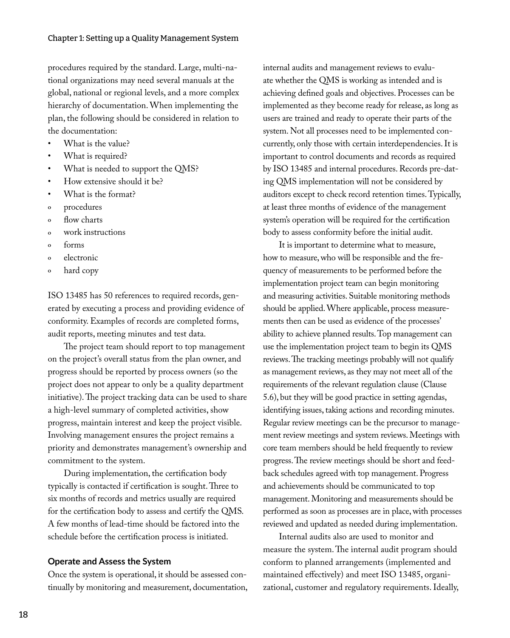procedures required by the standard. Large, multi-national organizations may need several manuals at the global, national or regional levels, and a more complex hierarchy of documentation. When implementing the plan, the following should be considered in relation to the documentation:

- What is the value?
- What is required?
- What is needed to support the QMS?
- How extensive should it be?
- What is the format?
- º procedures
- º flow charts
- º work instructions
- º forms
- o electronic
- º hard copy

ISO 13485 has 50 references to required records, generated by executing a process and providing evidence of conformity. Examples of records are completed forms, audit reports, meeting minutes and test data.

The project team should report to top management on the project's overall status from the plan owner, and progress should be reported by process owners (so the project does not appear to only be a quality department initiative). The project tracking data can be used to share a high-level summary of completed activities, show progress, maintain interest and keep the project visible. Involving management ensures the project remains a priority and demonstrates management's ownership and commitment to the system.

During implementation, the certification body typically is contacted if certification is sought. Three to six months of records and metrics usually are required for the certification body to assess and certify the QMS. A few months of lead-time should be factored into the schedule before the certification process is initiated.

#### **Operate and Assess the System**

Once the system is operational, it should be assessed continually by monitoring and measurement, documentation,

internal audits and management reviews to evaluate whether the QMS is working as intended and is achieving defined goals and objectives. Processes can be implemented as they become ready for release, as long as users are trained and ready to operate their parts of the system. Not all processes need to be implemented concurrently, only those with certain interdependencies. It is important to control documents and records as required by ISO 13485 and internal procedures. Records pre-dating QMS implementation will not be considered by auditors except to check record retention times. Typically, at least three months of evidence of the management system's operation will be required for the certification body to assess conformity before the initial audit.

It is important to determine what to measure, how to measure, who will be responsible and the frequency of measurements to be performed before the implementation project team can begin monitoring and measuring activities. Suitable monitoring methods should be applied. Where applicable, process measurements then can be used as evidence of the processes' ability to achieve planned results. Top management can use the implementation project team to begin its QMS reviews. The tracking meetings probably will not qualify as management reviews, as they may not meet all of the requirements of the relevant regulation clause (Clause 5.6), but they will be good practice in setting agendas, identifying issues, taking actions and recording minutes. Regular review meetings can be the precursor to management review meetings and system reviews. Meetings with core team members should be held frequently to review progress. The review meetings should be short and feedback schedules agreed with top management. Progress and achievements should be communicated to top management. Monitoring and measurements should be performed as soon as processes are in place, with processes reviewed and updated as needed during implementation.

Internal audits also are used to monitor and measure the system. The internal audit program should conform to planned arrangements (implemented and maintained effectively) and meet ISO 13485, organizational, customer and regulatory requirements. Ideally,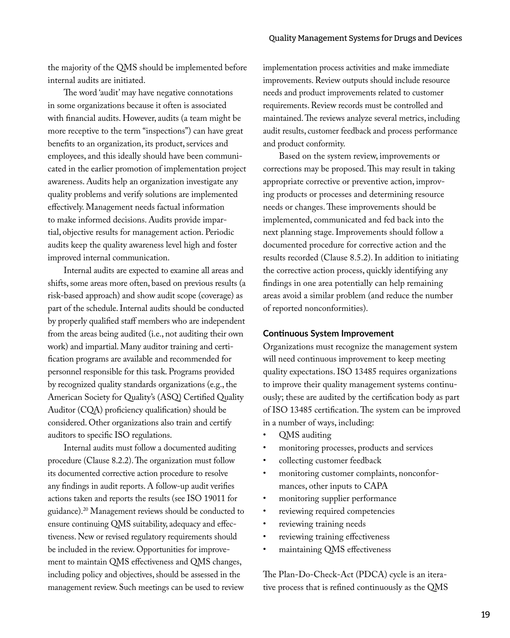the majority of the QMS should be implemented before internal audits are initiated.

The word 'audit' may have negative connotations in some organizations because it often is associated with financial audits. However, audits (a team might be more receptive to the term "inspections") can have great benefits to an organization, its product, services and employees, and this ideally should have been communicated in the earlier promotion of implementation project awareness. Audits help an organization investigate any quality problems and verify solutions are implemented effectively. Management needs factual information to make informed decisions. Audits provide impartial, objective results for management action. Periodic audits keep the quality awareness level high and foster improved internal communication.

Internal audits are expected to examine all areas and shifts, some areas more often, based on previous results (a risk-based approach) and show audit scope (coverage) as part of the schedule. Internal audits should be conducted by properly qualified staff members who are independent from the areas being audited (i.e., not auditing their own work) and impartial. Many auditor training and certification programs are available and recommended for personnel responsible for this task. Programs provided by recognized quality standards organizations (e.g., the American Society for Quality's (ASQ) Certified Quality Auditor (CQA) proficiency qualification) should be considered. Other organizations also train and certify auditors to specific ISO regulations.

Internal audits must follow a documented auditing procedure (Clause 8.2.2). The organization must follow its documented corrective action procedure to resolve any findings in audit reports. A follow-up audit verifies actions taken and reports the results (see ISO 19011 for guidance).20 Management reviews should be conducted to ensure continuing QMS suitability, adequacy and effectiveness. New or revised regulatory requirements should be included in the review. Opportunities for improvement to maintain QMS effectiveness and QMS changes, including policy and objectives, should be assessed in the management review. Such meetings can be used to review implementation process activities and make immediate improvements. Review outputs should include resource needs and product improvements related to customer requirements. Review records must be controlled and maintained. The reviews analyze several metrics, including audit results, customer feedback and process performance and product conformity.

Based on the system review, improvements or corrections may be proposed. This may result in taking appropriate corrective or preventive action, improving products or processes and determining resource needs or changes. These improvements should be implemented, communicated and fed back into the next planning stage. Improvements should follow a documented procedure for corrective action and the results recorded (Clause 8.5.2). In addition to initiating the corrective action process, quickly identifying any findings in one area potentially can help remaining areas avoid a similar problem (and reduce the number of reported nonconformities).

#### **Continuous System Improvement**

Organizations must recognize the management system will need continuous improvement to keep meeting quality expectations. ISO 13485 requires organizations to improve their quality management systems continuously; these are audited by the certification body as part of ISO 13485 certification. The system can be improved in a number of ways, including:

- QMS auditing
- monitoring processes, products and services
- collecting customer feedback
- monitoring customer complaints, nonconformances, other inputs to CAPA
- monitoring supplier performance
- reviewing required competencies
- reviewing training needs
- reviewing training effectiveness
- maintaining QMS effectiveness

The Plan-Do-Check-Act (PDCA) cycle is an iterative process that is refined continuously as the QMS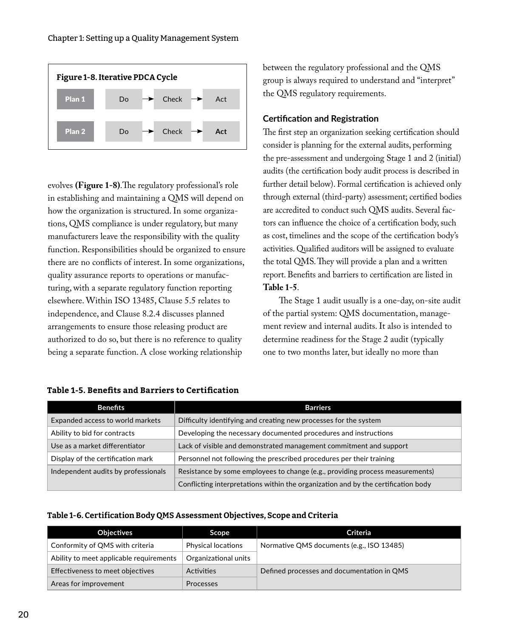

evolves **(Figure 1-8)**.The regulatory professional's role in establishing and maintaining a QMS will depend on how the organization is structured. In some organizations, QMS compliance is under regulatory, but many manufacturers leave the responsibility with the quality function. Responsibilities should be organized to ensure there are no conflicts of interest. In some organizations, quality assurance reports to operations or manufacturing, with a separate regulatory function reporting elsewhere. Within ISO 13485, Clause 5.5 relates to independence, and Clause 8.2.4 discusses planned arrangements to ensure those releasing product are authorized to do so, but there is no reference to quality being a separate function. A close working relationship

between the regulatory professional and the QMS group is always required to understand and "interpret" the QMS regulatory requirements.

#### **Certification and Registration**

The first step an organization seeking certification should consider is planning for the external audits, performing the pre-assessment and undergoing Stage 1 and 2 (initial) audits (the certification body audit process is described in further detail below). Formal certification is achieved only through external (third-party) assessment; certified bodies are accredited to conduct such QMS audits. Several factors can influence the choice of a certification body, such as cost, timelines and the scope of the certification body's activities. Qualified auditors will be assigned to evaluate the total QMS. They will provide a plan and a written report. Benefits and barriers to certification are listed in **Table 1-5**.

The Stage 1 audit usually is a one-day, on-site audit of the partial system: QMS documentation, management review and internal audits. It also is intended to determine readiness for the Stage 2 audit (typically one to two months later, but ideally no more than

| <b>Benefits</b>                     | <b>Barriers</b>                                                                   |
|-------------------------------------|-----------------------------------------------------------------------------------|
| Expanded access to world markets    | Difficulty identifying and creating new processes for the system                  |
| Ability to bid for contracts        | Developing the necessary documented procedures and instructions                   |
| Use as a market differentiator      | Lack of visible and demonstrated management commitment and support                |
| Display of the certification mark   | Personnel not following the prescribed procedures per their training              |
| Independent audits by professionals | Resistance by some employees to change (e.g., providing process measurements)     |
|                                     | Conflicting interpretations within the organization and by the certification body |

#### **Table 1-5. Benefits and Barriers to Certification**

#### Table 1-6. Certification Body QMS Assessment Objectives, Scope and Criteria

| <b>Objectives</b>                       | <b>Scope</b>              | Criteria                                   |
|-----------------------------------------|---------------------------|--------------------------------------------|
| Conformity of QMS with criteria         | <b>Physical locations</b> | Normative QMS documents (e.g., ISO 13485)  |
| Ability to meet applicable requirements | Organizational units      |                                            |
| Effectiveness to meet objectives        | <b>Activities</b>         | Defined processes and documentation in QMS |
| Areas for improvement                   | <b>Processes</b>          |                                            |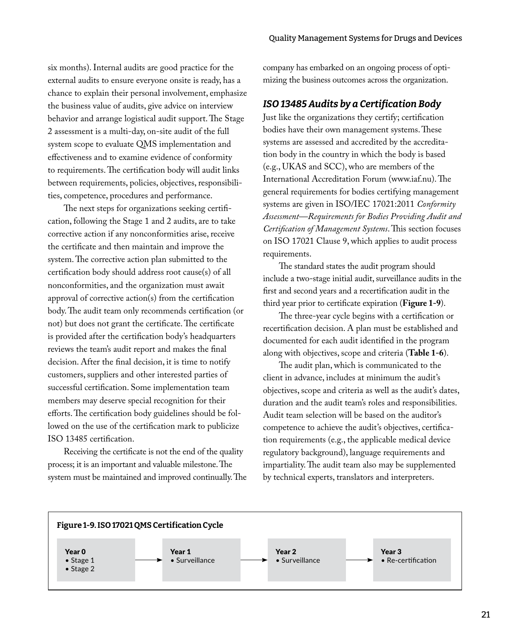six months). Internal audits are good practice for the external audits to ensure everyone onsite is ready, has a chance to explain their personal involvement, emphasize the business value of audits, give advice on interview behavior and arrange logistical audit support. The Stage 2 assessment is a multi-day, on-site audit of the full system scope to evaluate QMS implementation and effectiveness and to examine evidence of conformity to requirements. The certification body will audit links between requirements, policies, objectives, responsibilities, competence, procedures and performance.

The next steps for organizations seeking certification, following the Stage 1 and 2 audits, are to take corrective action if any nonconformities arise, receive the certificate and then maintain and improve the system. The corrective action plan submitted to the certification body should address root cause(s) of all nonconformities, and the organization must await approval of corrective action(s) from the certification body. The audit team only recommends certification (or not) but does not grant the certificate. The certificate is provided after the certification body's headquarters reviews the team's audit report and makes the final decision. After the final decision, it is time to notify customers, suppliers and other interested parties of successful certification. Some implementation team members may deserve special recognition for their efforts. The certification body guidelines should be followed on the use of the certification mark to publicize ISO 13485 certification.

Receiving the certificate is not the end of the quality process; it is an important and valuable milestone. The system must be maintained and improved continually. The company has embarked on an ongoing process of optimizing the business outcomes across the organization.

### *ISO 13485 Audits by a Certification Body*

Just like the organizations they certify; certification bodies have their own management systems. These systems are assessed and accredited by the accreditation body in the country in which the body is based (e.g., UKAS and SCC), who are members of the International Accreditation Forum (www.iaf.nu). The general requirements for bodies certifying management systems are given in ISO/IEC 17021:2011 *Conformity Assessment—Requirements for Bodies Providing Audit and Certification of Management Systems*. This section focuses on ISO 17021 Clause 9, which applies to audit process requirements.

The standard states the audit program should include a two-stage initial audit, surveillance audits in the first and second years and a recertification audit in the third year prior to certificate expiration (**Figure 1-9**).

The three-year cycle begins with a certification or recertification decision. A plan must be established and documented for each audit identified in the program along with objectives, scope and criteria (**Table 1-6**).

The audit plan, which is communicated to the client in advance, includes at minimum the audit's objectives, scope and criteria as well as the audit's dates, duration and the audit team's roles and responsibilities. Audit team selection will be based on the auditor's competence to achieve the audit's objectives, certification requirements (e.g., the applicable medical device regulatory background), language requirements and impartiality. The audit team also may be supplemented by technical experts, translators and interpreters.

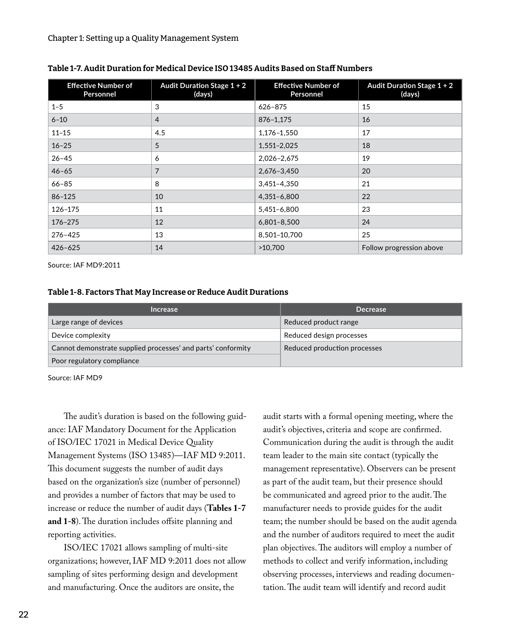| <b>Effective Number of</b><br>Personnel | Audit Duration Stage $1 + 2$<br>(days) | <b>Effective Number of</b><br>Personnel | Audit Duration Stage $1 + 2$<br>(days) |
|-----------------------------------------|----------------------------------------|-----------------------------------------|----------------------------------------|
| $1 - 5$                                 | 3                                      | 626-875                                 | 15                                     |
| $6 - 10$                                | $\overline{4}$                         | 876-1,175                               | 16                                     |
| $11 - 15$                               | 4.5                                    | 1,176-1,550                             | 17                                     |
| $16 - 25$                               | 5                                      | 1,551-2,025                             | 18                                     |
| $26 - 45$                               | 6                                      | 2,026-2,675                             | 19                                     |
| $46 - 65$                               | 7                                      | 2,676-3,450                             | 20                                     |
| $66 - 85$                               | 8                                      | 3,451-4,350                             | 21                                     |
| $86 - 125$                              | 10                                     | 4,351-6,800                             | 22                                     |
| 126-175                                 | 11                                     | 5,451-6,800                             | 23                                     |
| 176-275                                 | 12                                     | 6,801-8,500                             | 24                                     |
| 276-425                                 | 13                                     | 8,501-10,700                            | 25                                     |
| $426 - 625$                             | 14                                     | >10.700                                 | Follow progression above               |

#### Table 1-7. Audit Duration for Medical Device ISO 13485 Audits Based on Staff Numbers

Source: IAF MD9:2011

#### Table 1-8. Factors That May Increase or Reduce Audit Durations

| <b>Increase</b>                                              | <b>Decrease</b>              |  |
|--------------------------------------------------------------|------------------------------|--|
| Large range of devices                                       | Reduced product range        |  |
| Device complexity                                            | Reduced design processes     |  |
| Cannot demonstrate supplied processes' and parts' conformity | Reduced production processes |  |
| Poor regulatory compliance                                   |                              |  |

Source: IAF MD9

The audit's duration is based on the following guidance: IAF Mandatory Document for the Application of ISO/IEC 17021 in Medical Device Quality Management Systems (ISO 13485)—IAF MD 9:2011. This document suggests the number of audit days based on the organization's size (number of personnel) and provides a number of factors that may be used to increase or reduce the number of audit days (**Tables 1-7 and 1-8**). The duration includes offsite planning and reporting activities.

ISO/IEC 17021 allows sampling of multi-site organizations; however, IAF MD 9:2011 does not allow sampling of sites performing design and development and manufacturing. Once the auditors are onsite, the

audit starts with a formal opening meeting, where the audit's objectives, criteria and scope are confirmed. Communication during the audit is through the audit team leader to the main site contact (typically the management representative). Observers can be present as part of the audit team, but their presence should be communicated and agreed prior to the audit. The manufacturer needs to provide guides for the audit team; the number should be based on the audit agenda and the number of auditors required to meet the audit plan objectives. The auditors will employ a number of methods to collect and verify information, including observing processes, interviews and reading documentation. The audit team will identify and record audit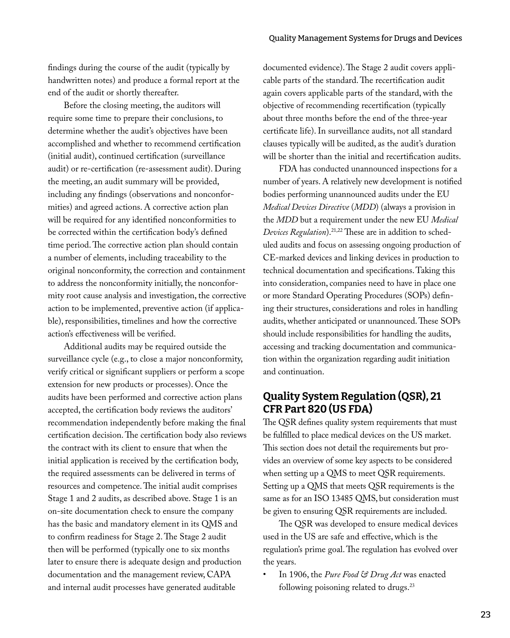findings during the course of the audit (typically by handwritten notes) and produce a formal report at the end of the audit or shortly thereafter.

Before the closing meeting, the auditors will require some time to prepare their conclusions, to determine whether the audit's objectives have been accomplished and whether to recommend certification (initial audit), continued certification (surveillance audit) or re-certification (re-assessment audit). During the meeting, an audit summary will be provided, including any findings (observations and nonconformities) and agreed actions. A corrective action plan will be required for any identified nonconformities to be corrected within the certification body's defined time period. The corrective action plan should contain a number of elements, including traceability to the original nonconformity, the correction and containment to address the nonconformity initially, the nonconformity root cause analysis and investigation, the corrective action to be implemented, preventive action (if applicable), responsibilities, timelines and how the corrective action's effectiveness will be verified.

Additional audits may be required outside the surveillance cycle (e.g., to close a major nonconformity, verify critical or significant suppliers or perform a scope extension for new products or processes). Once the audits have been performed and corrective action plans accepted, the certification body reviews the auditors' recommendation independently before making the final certification decision. The certification body also reviews the contract with its client to ensure that when the initial application is received by the certification body, the required assessments can be delivered in terms of resources and competence. The initial audit comprises Stage 1 and 2 audits, as described above. Stage 1 is an on-site documentation check to ensure the company has the basic and mandatory element in its QMS and to confirm readiness for Stage 2. The Stage 2 audit then will be performed (typically one to six months later to ensure there is adequate design and production documentation and the management review, CAPA and internal audit processes have generated auditable

documented evidence). The Stage 2 audit covers applicable parts of the standard. The recertification audit again covers applicable parts of the standard, with the objective of recommending recertification (typically about three months before the end of the three-year certificate life). In surveillance audits, not all standard clauses typically will be audited, as the audit's duration will be shorter than the initial and recertification audits.

FDA has conducted unannounced inspections for a number of years. A relatively new development is notified bodies performing unannounced audits under the EU *Medical Devices Directive* (*MDD*) (always a provision in the *MDD* but a requirement under the new EU *Medical Devices Regulation*).21,22 These are in addition to scheduled audits and focus on assessing ongoing production of CE-marked devices and linking devices in production to technical documentation and specifications. Taking this into consideration, companies need to have in place one or more Standard Operating Procedures (SOPs) defining their structures, considerations and roles in handling audits, whether anticipated or unannounced. These SOPs should include responsibilities for handling the audits, accessing and tracking documentation and communication within the organization regarding audit initiation and continuation.

### Quality System Regulation (QSR), 21 CFR Part 820 (US FDA)

The QSR defines quality system requirements that must be fulfilled to place medical devices on the US market. This section does not detail the requirements but provides an overview of some key aspects to be considered when setting up a QMS to meet QSR requirements. Setting up a QMS that meets QSR requirements is the same as for an ISO 13485 QMS, but consideration must be given to ensuring QSR requirements are included.

The QSR was developed to ensure medical devices used in the US are safe and effective, which is the regulation's prime goal. The regulation has evolved over the years.

• In 1906, the *Pure Food & Drug Act* was enacted following poisoning related to drugs.<sup>23</sup>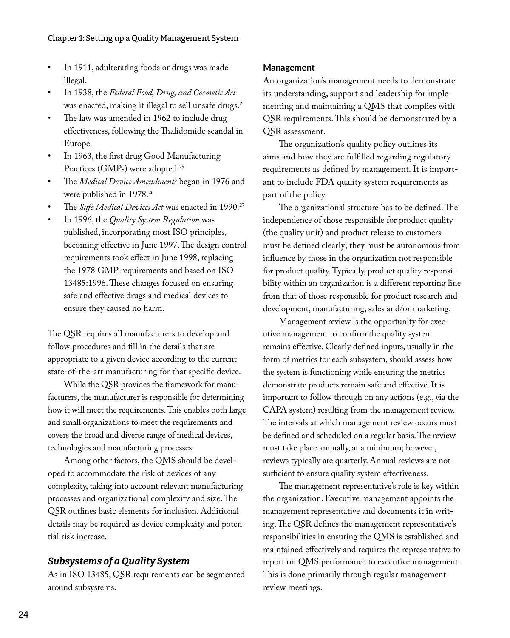- In 1911, adulterating foods or drugs was made illegal.
- In 1938, the *Federal Food, Drug, and Cosmetic Act* was enacted, making it illegal to sell unsafe drugs.<sup>24</sup>
- The law was amended in 1962 to include drug effectiveness, following the Thalidomide scandal in Europe.
- In 1963, the first drug Good Manufacturing Practices (GMPs) were adopted.<sup>25</sup>
- The *Medical Device Amendments* began in 1976 and were published in 1978.26
- The Safe Medical Devices Act was enacted in 1990.<sup>27</sup>
- In 1996, the *Quality System Regulation* was published, incorporating most ISO principles, becoming effective in June 1997. The design control requirements took effect in June 1998, replacing the 1978 GMP requirements and based on ISO 13485:1996. These changes focused on ensuring safe and effective drugs and medical devices to ensure they caused no harm.

The QSR requires all manufacturers to develop and follow procedures and fill in the details that are appropriate to a given device according to the current state-of-the-art manufacturing for that specific device.

While the QSR provides the framework for manufacturers, the manufacturer is responsible for determining how it will meet the requirements. This enables both large and small organizations to meet the requirements and covers the broad and diverse range of medical devices, technologies and manufacturing processes.

Among other factors, the QMS should be developed to accommodate the risk of devices of any complexity, taking into account relevant manufacturing processes and organizational complexity and size. The QSR outlines basic elements for inclusion. Additional details may be required as device complexity and potential risk increase.

### *Subsystems of a Quality System*

As in ISO 13485, QSR requirements can be segmented around subsystems.

#### **Management**

An organization's management needs to demonstrate its understanding, support and leadership for implementing and maintaining a QMS that complies with QSR requirements. This should be demonstrated by a QSR assessment.

The organization's quality policy outlines its aims and how they are fulfilled regarding regulatory requirements as defined by management. It is important to include FDA quality system requirements as part of the policy.

The organizational structure has to be defined. The independence of those responsible for product quality (the quality unit) and product release to customers must be defined clearly; they must be autonomous from influence by those in the organization not responsible for product quality. Typically, product quality responsibility within an organization is a different reporting line from that of those responsible for product research and development, manufacturing, sales and/or marketing.

Management review is the opportunity for executive management to confirm the quality system remains effective. Clearly defined inputs, usually in the form of metrics for each subsystem, should assess how the system is functioning while ensuring the metrics demonstrate products remain safe and effective. It is important to follow through on any actions (e.g., via the CAPA system) resulting from the management review. The intervals at which management review occurs must be defined and scheduled on a regular basis. The review must take place annually, at a minimum; however, reviews typically are quarterly. Annual reviews are not sufficient to ensure quality system effectiveness.

The management representative's role is key within the organization. Executive management appoints the management representative and documents it in writing. The QSR defines the management representative's responsibilities in ensuring the QMS is established and maintained effectively and requires the representative to report on QMS performance to executive management. This is done primarily through regular management review meetings.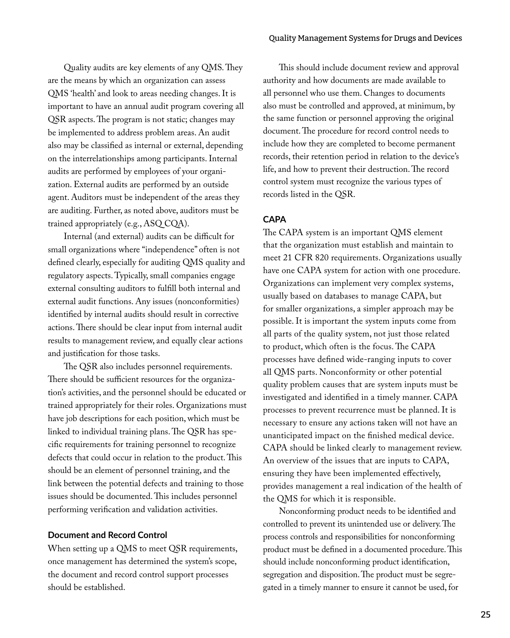Quality audits are key elements of any QMS. They are the means by which an organization can assess QMS 'health' and look to areas needing changes. It is important to have an annual audit program covering all QSR aspects. The program is not static; changes may be implemented to address problem areas. An audit also may be classified as internal or external, depending on the interrelationships among participants. Internal audits are performed by employees of your organization. External audits are performed by an outside agent. Auditors must be independent of the areas they are auditing. Further, as noted above, auditors must be trained appropriately (e.g., ASQ CQA).

Internal (and external) audits can be difficult for small organizations where "independence" often is not defined clearly, especially for auditing QMS quality and regulatory aspects. Typically, small companies engage external consulting auditors to fulfill both internal and external audit functions. Any issues (nonconformities) identified by internal audits should result in corrective actions. There should be clear input from internal audit results to management review, and equally clear actions and justification for those tasks.

The QSR also includes personnel requirements. There should be sufficient resources for the organization's activities, and the personnel should be educated or trained appropriately for their roles. Organizations must have job descriptions for each position, which must be linked to individual training plans. The QSR has specific requirements for training personnel to recognize defects that could occur in relation to the product. This should be an element of personnel training, and the link between the potential defects and training to those issues should be documented. This includes personnel performing verification and validation activities.

#### **Document and Record Control**

When setting up a QMS to meet QSR requirements, once management has determined the system's scope, the document and record control support processes should be established.

This should include document review and approval authority and how documents are made available to all personnel who use them. Changes to documents also must be controlled and approved, at minimum, by the same function or personnel approving the original document. The procedure for record control needs to include how they are completed to become permanent records, their retention period in relation to the device's life, and how to prevent their destruction. The record control system must recognize the various types of records listed in the QSR.

#### **CAPA**

The CAPA system is an important QMS element that the organization must establish and maintain to meet 21 CFR 820 requirements. Organizations usually have one CAPA system for action with one procedure. Organizations can implement very complex systems, usually based on databases to manage CAPA, but for smaller organizations, a simpler approach may be possible. It is important the system inputs come from all parts of the quality system, not just those related to product, which often is the focus. The CAPA processes have defined wide-ranging inputs to cover all QMS parts. Nonconformity or other potential quality problem causes that are system inputs must be investigated and identified in a timely manner. CAPA processes to prevent recurrence must be planned. It is necessary to ensure any actions taken will not have an unanticipated impact on the finished medical device. CAPA should be linked clearly to management review. An overview of the issues that are inputs to CAPA, ensuring they have been implemented effectively, provides management a real indication of the health of the QMS for which it is responsible.

Nonconforming product needs to be identified and controlled to prevent its unintended use or delivery. The process controls and responsibilities for nonconforming product must be defined in a documented procedure. This should include nonconforming product identification, segregation and disposition. The product must be segregated in a timely manner to ensure it cannot be used, for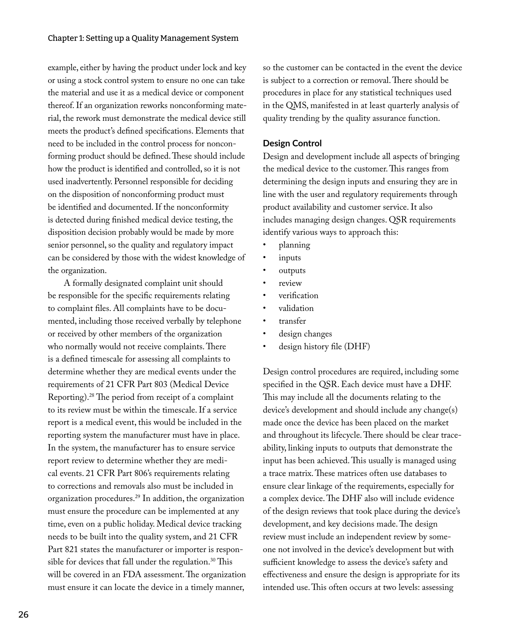example, either by having the product under lock and key or using a stock control system to ensure no one can take the material and use it as a medical device or component thereof. If an organization reworks nonconforming material, the rework must demonstrate the medical device still meets the product's defined specifications. Elements that need to be included in the control process for nonconforming product should be defined. These should include how the product is identified and controlled, so it is not used inadvertently. Personnel responsible for deciding on the disposition of nonconforming product must be identified and documented. If the nonconformity is detected during finished medical device testing, the disposition decision probably would be made by more senior personnel, so the quality and regulatory impact can be considered by those with the widest knowledge of the organization.

A formally designated complaint unit should be responsible for the specific requirements relating to complaint files. All complaints have to be documented, including those received verbally by telephone or received by other members of the organization who normally would not receive complaints. There is a defined timescale for assessing all complaints to determine whether they are medical events under the requirements of 21 CFR Part 803 (Medical Device Reporting).28 The period from receipt of a complaint to its review must be within the timescale. If a service report is a medical event, this would be included in the reporting system the manufacturer must have in place. In the system, the manufacturer has to ensure service report review to determine whether they are medical events. 21 CFR Part 806's requirements relating to corrections and removals also must be included in organization procedures.29 In addition, the organization must ensure the procedure can be implemented at any time, even on a public holiday. Medical device tracking needs to be built into the quality system, and 21 CFR Part 821 states the manufacturer or importer is responsible for devices that fall under the regulation.<sup>30</sup> This will be covered in an FDA assessment. The organization must ensure it can locate the device in a timely manner,

26

so the customer can be contacted in the event the device is subject to a correction or removal. There should be procedures in place for any statistical techniques used in the QMS, manifested in at least quarterly analysis of quality trending by the quality assurance function.

#### **Design Control**

Design and development include all aspects of bringing the medical device to the customer. This ranges from determining the design inputs and ensuring they are in line with the user and regulatory requirements through product availability and customer service. It also includes managing design changes. QSR requirements identify various ways to approach this:

- planning
- inputs
- outputs
- review
- verification
- validation
- transfer
- design changes
- design history file (DHF)

Design control procedures are required, including some specified in the QSR. Each device must have a DHF. This may include all the documents relating to the device's development and should include any change(s) made once the device has been placed on the market and throughout its lifecycle. There should be clear traceability, linking inputs to outputs that demonstrate the input has been achieved. This usually is managed using a trace matrix. These matrices often use databases to ensure clear linkage of the requirements, especially for a complex device. The DHF also will include evidence of the design reviews that took place during the device's development, and key decisions made. The design review must include an independent review by someone not involved in the device's development but with sufficient knowledge to assess the device's safety and effectiveness and ensure the design is appropriate for its intended use. This often occurs at two levels: assessing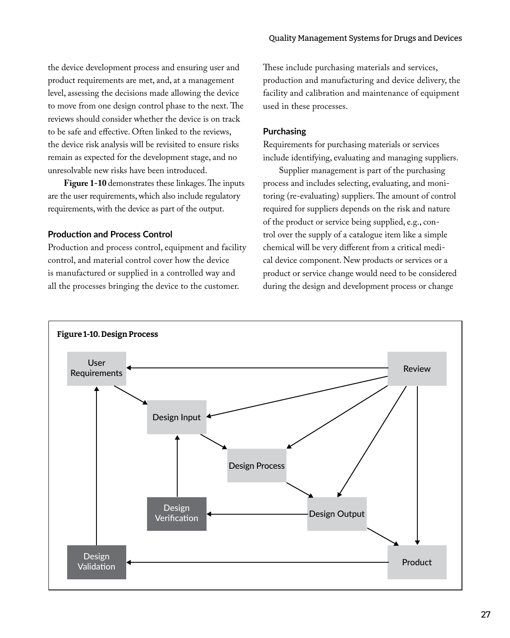the device development process and ensuring user and product requirements are met, and, at a management level, assessing the decisions made allowing the device to move from one design control phase to the next. The reviews should consider whether the device is on track to be safe and effective. Often linked to the reviews, the device risk analysis will be revisited to ensure risks remain as expected for the development stage, and no unresolvable new risks have been introduced.

**Figure 1-10** demonstrates these linkages. The inputs are the user requirements, which also include regulatory requirements, with the device as part of the output.

#### **Production and Process Control**

Production and process control, equipment and facility control, and material control cover how the device is manufactured or supplied in a controlled way and all the processes bringing the device to the customer.

These include purchasing materials and services, production and manufacturing and device delivery, the facility and calibration and maintenance of equipment used in these processes.

#### **Purchasing**

Requirements for purchasing materials or services include identifying, evaluating and managing suppliers.

Supplier management is part of the purchasing process and includes selecting, evaluating, and monitoring (re-evaluating) suppliers. The amount of control required for suppliers depends on the risk and nature of the product or service being supplied, e.g., control over the supply of a catalogue item like a simple chemical will be very different from a critical medical device component. New products or services or a product or service change would need to be considered during the design and development process or change

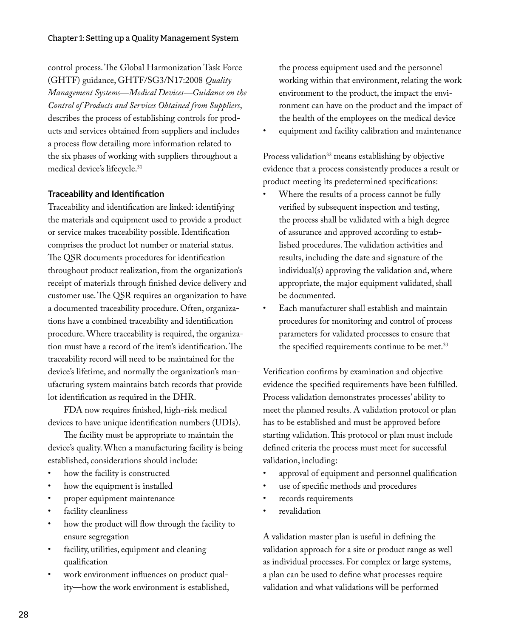control process. The Global Harmonization Task Force (GHTF) guidance, GHTF/SG3/N17:2008 *Quality Management Systems—Medical Devices—Guidance on the Control of Products and Services Obtained from Suppliers*, describes the process of establishing controls for products and services obtained from suppliers and includes a process flow detailing more information related to the six phases of working with suppliers throughout a medical device's lifecycle.31

#### **Traceability and Identification**

Traceability and identification are linked: identifying the materials and equipment used to provide a product or service makes traceability possible. Identification comprises the product lot number or material status. The QSR documents procedures for identification throughout product realization, from the organization's receipt of materials through finished device delivery and customer use. The QSR requires an organization to have a documented traceability procedure. Often, organizations have a combined traceability and identification procedure. Where traceability is required, the organization must have a record of the item's identification. The traceability record will need to be maintained for the device's lifetime, and normally the organization's manufacturing system maintains batch records that provide lot identification as required in the DHR.

FDA now requires finished, high-risk medical devices to have unique identification numbers (UDIs).

The facility must be appropriate to maintain the device's quality. When a manufacturing facility is being established, considerations should include:

- how the facility is constructed
- how the equipment is installed
- proper equipment maintenance
- facility cleanliness
- how the product will flow through the facility to ensure segregation
- facility, utilities, equipment and cleaning qualification
- work environment influences on product quality—how the work environment is established,

the process equipment used and the personnel working within that environment, relating the work environment to the product, the impact the environment can have on the product and the impact of the health of the employees on the medical device

• equipment and facility calibration and maintenance

Process validation<sup>32</sup> means establishing by objective evidence that a process consistently produces a result or product meeting its predetermined specifications:

- Where the results of a process cannot be fully verified by subsequent inspection and testing, the process shall be validated with a high degree of assurance and approved according to established procedures. The validation activities and results, including the date and signature of the individual(s) approving the validation and, where appropriate, the major equipment validated, shall be documented.
- Each manufacturer shall establish and maintain procedures for monitoring and control of process parameters for validated processes to ensure that the specified requirements continue to be met.<sup>33</sup>

Verification confirms by examination and objective evidence the specified requirements have been fulfilled. Process validation demonstrates processes' ability to meet the planned results. A validation protocol or plan has to be established and must be approved before starting validation. This protocol or plan must include defined criteria the process must meet for successful validation, including:

- approval of equipment and personnel qualification
- use of specific methods and procedures
- records requirements
- revalidation

A validation master plan is useful in defining the validation approach for a site or product range as well as individual processes. For complex or large systems, a plan can be used to define what processes require validation and what validations will be performed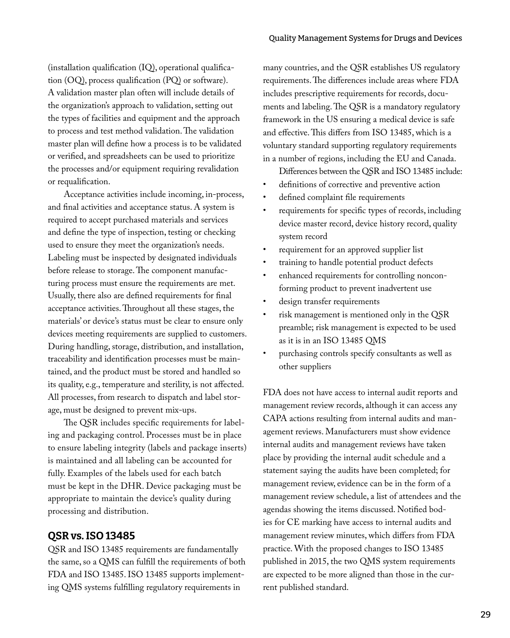(installation qualification (IQ), operational qualification (OQ), process qualification (PQ) or software). A validation master plan often will include details of the organization's approach to validation, setting out the types of facilities and equipment and the approach to process and test method validation. The validation master plan will define how a process is to be validated or verified, and spreadsheets can be used to prioritize the processes and/or equipment requiring revalidation or requalification.

Acceptance activities include incoming, in-process, and final activities and acceptance status. A system is required to accept purchased materials and services and define the type of inspection, testing or checking used to ensure they meet the organization's needs. Labeling must be inspected by designated individuals before release to storage. The component manufacturing process must ensure the requirements are met. Usually, there also are defined requirements for final acceptance activities. Throughout all these stages, the materials' or device's status must be clear to ensure only devices meeting requirements are supplied to customers. During handling, storage, distribution, and installation, traceability and identification processes must be maintained, and the product must be stored and handled so its quality, e.g., temperature and sterility, is not affected. All processes, from research to dispatch and label storage, must be designed to prevent mix-ups.

The QSR includes specific requirements for labeling and packaging control. Processes must be in place to ensure labeling integrity (labels and package inserts) is maintained and all labeling can be accounted for fully. Examples of the labels used for each batch must be kept in the DHR. Device packaging must be appropriate to maintain the device's quality during processing and distribution.

### QSR vs. ISO 13485

QSR and ISO 13485 requirements are fundamentally the same, so a QMS can fulfill the requirements of both FDA and ISO 13485. ISO 13485 supports implementing QMS systems fulfilling regulatory requirements in

many countries, and the QSR establishes US regulatory requirements. The differences include areas where FDA includes prescriptive requirements for records, documents and labeling. The QSR is a mandatory regulatory framework in the US ensuring a medical device is safe and effective. This differs from ISO 13485, which is a voluntary standard supporting regulatory requirements in a number of regions, including the EU and Canada.

Differences between the QSR and ISO 13485 include:

- definitions of corrective and preventive action
- defined complaint file requirements
- requirements for specific types of records, including device master record, device history record, quality system record
- requirement for an approved supplier list
- training to handle potential product defects
- enhanced requirements for controlling nonconforming product to prevent inadvertent use
- design transfer requirements
- risk management is mentioned only in the QSR preamble; risk management is expected to be used as it is in an ISO 13485 QMS
- purchasing controls specify consultants as well as other suppliers

FDA does not have access to internal audit reports and management review records, although it can access any CAPA actions resulting from internal audits and management reviews. Manufacturers must show evidence internal audits and management reviews have taken place by providing the internal audit schedule and a statement saying the audits have been completed; for management review, evidence can be in the form of a management review schedule, a list of attendees and the agendas showing the items discussed. Notified bodies for CE marking have access to internal audits and management review minutes, which differs from FDA practice. With the proposed changes to ISO 13485 published in 2015, the two QMS system requirements are expected to be more aligned than those in the current published standard.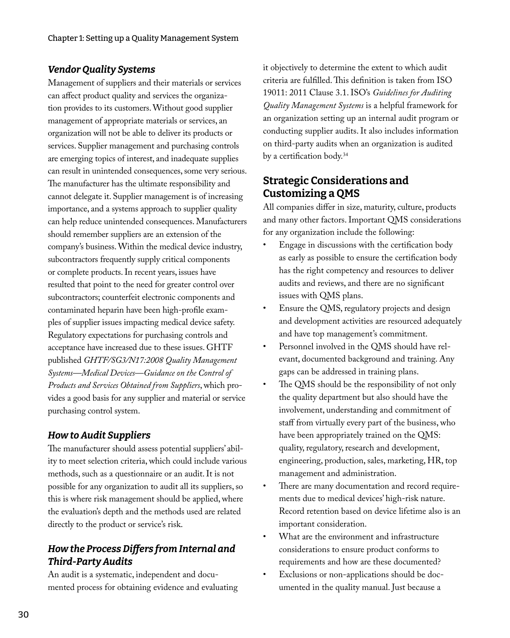### *Vendor Quality Systems*

Management of suppliers and their materials or services can affect product quality and services the organization provides to its customers. Without good supplier management of appropriate materials or services, an organization will not be able to deliver its products or services. Supplier management and purchasing controls are emerging topics of interest, and inadequate supplies can result in unintended consequences, some very serious. The manufacturer has the ultimate responsibility and cannot delegate it. Supplier management is of increasing importance, and a systems approach to supplier quality can help reduce unintended consequences. Manufacturers should remember suppliers are an extension of the company's business. Within the medical device industry, subcontractors frequently supply critical components or complete products. In recent years, issues have resulted that point to the need for greater control over subcontractors; counterfeit electronic components and contaminated heparin have been high-profile examples of supplier issues impacting medical device safety. Regulatory expectations for purchasing controls and acceptance have increased due to these issues. GHTF published *GHTF/SG3/N17:2008 Quality Management Systems—Medical Devices—Guidance on the Control of Products and Services Obtained from Suppliers*, which provides a good basis for any supplier and material or service purchasing control system.

### *How to Audit Suppliers*

The manufacturer should assess potential suppliers' ability to meet selection criteria, which could include various methods, such as a questionnaire or an audit. It is not possible for any organization to audit all its suppliers, so this is where risk management should be applied, where the evaluation's depth and the methods used are related directly to the product or service's risk.

### *How the Process Differs from Internal and Third-Party Audits*

An audit is a systematic, independent and documented process for obtaining evidence and evaluating

it objectively to determine the extent to which audit criteria are fulfilled. This definition is taken from ISO 19011: 2011 Clause 3.1. ISO's *Guidelines for Auditing Quality Management Systems* is a helpful framework for an organization setting up an internal audit program or conducting supplier audits. It also includes information on third-party audits when an organization is audited by a certification body.34

## Strategic Considerations and Customizing a QMS

All companies differ in size, maturity, culture, products and many other factors. Important QMS considerations for any organization include the following:

- Engage in discussions with the certification body as early as possible to ensure the certification body has the right competency and resources to deliver audits and reviews, and there are no significant issues with QMS plans.
- Ensure the QMS, regulatory projects and design and development activities are resourced adequately and have top management's commitment.
- Personnel involved in the QMS should have relevant, documented background and training. Any gaps can be addressed in training plans.
- The QMS should be the responsibility of not only the quality department but also should have the involvement, understanding and commitment of staff from virtually every part of the business, who have been appropriately trained on the QMS: quality, regulatory, research and development, engineering, production, sales, marketing, HR, top management and administration.
- There are many documentation and record requirements due to medical devices' high-risk nature. Record retention based on device lifetime also is an important consideration.
- What are the environment and infrastructure considerations to ensure product conforms to requirements and how are these documented?
- Exclusions or non-applications should be documented in the quality manual. Just because a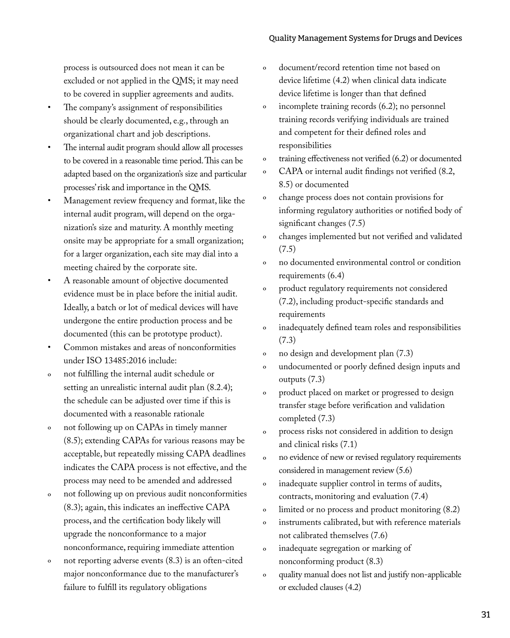#### Quality Management Systems for Drugs and Devices

process is outsourced does not mean it can be excluded or not applied in the QMS; it may need to be covered in supplier agreements and audits.

- The company's assignment of responsibilities should be clearly documented, e.g., through an organizational chart and job descriptions.
- The internal audit program should allow all processes to be covered in a reasonable time period. This can be adapted based on the organization's size and particular processes' risk and importance in the QMS.
- Management review frequency and format, like the internal audit program, will depend on the organization's size and maturity. A monthly meeting onsite may be appropriate for a small organization; for a larger organization, each site may dial into a meeting chaired by the corporate site.
- A reasonable amount of objective documented evidence must be in place before the initial audit. Ideally, a batch or lot of medical devices will have undergone the entire production process and be documented (this can be prototype product).
- Common mistakes and areas of nonconformities under ISO 13485:2016 include:
- º not fulfilling the internal audit schedule or setting an unrealistic internal audit plan (8.2.4); the schedule can be adjusted over time if this is documented with a reasonable rationale
- º not following up on CAPAs in timely manner (8.5); extending CAPAs for various reasons may be acceptable, but repeatedly missing CAPA deadlines indicates the CAPA process is not effective, and the process may need to be amended and addressed
- º not following up on previous audit nonconformities (8.3); again, this indicates an ineffective CAPA process, and the certification body likely will upgrade the nonconformance to a major nonconformance, requiring immediate attention
- not reporting adverse events  $(8.3)$  is an often-cited major nonconformance due to the manufacturer's failure to fulfill its regulatory obligations
- º document/record retention time not based on device lifetime (4.2) when clinical data indicate device lifetime is longer than that defined
- º incomplete training records (6.2); no personnel training records verifying individuals are trained and competent for their defined roles and responsibilities
- º training effectiveness not verified (6.2) or documented
- º CAPA or internal audit findings not verified (8.2, 8.5) or documented
- º change process does not contain provisions for informing regulatory authorities or notified body of significant changes (7.5)
- º changes implemented but not verified and validated (7.5)
- º no documented environmental control or condition requirements (6.4)
- product regulatory requirements not considered (7.2), including product-specific standards and requirements
- º inadequately defined team roles and responsibilities (7.3)
- º no design and development plan (7.3)
- º undocumented or poorly defined design inputs and outputs (7.3)
- º product placed on market or progressed to design transfer stage before verification and validation completed (7.3)
- º process risks not considered in addition to design and clinical risks (7.1)
- º no evidence of new or revised regulatory requirements considered in management review (5.6)
- º inadequate supplier control in terms of audits, contracts, monitoring and evaluation (7.4)
- º limited or no process and product monitoring (8.2)
- º instruments calibrated, but with reference materials not calibrated themselves (7.6)
- º inadequate segregation or marking of nonconforming product (8.3)
- º quality manual does not list and justify non-applicable or excluded clauses (4.2)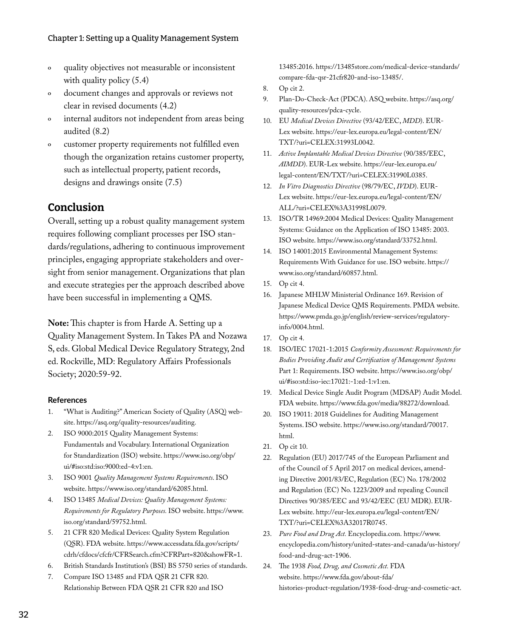- º quality objectives not measurable or inconsistent with quality policy  $(5.4)$
- º document changes and approvals or reviews not clear in revised documents (4.2)
- º internal auditors not independent from areas being audited (8.2)
- º customer property requirements not fulfilled even though the organization retains customer property, such as intellectual property, patient records, designs and drawings onsite (7.5)

### **Conclusion**

Overall, setting up a robust quality management system requires following compliant processes per ISO standards/regulations, adhering to continuous improvement principles, engaging appropriate stakeholders and oversight from senior management. Organizations that plan and execute strategies per the approach described above have been successful in implementing a QMS.

**Note:** This chapter is from Harde A. Setting up a Quality Management System. In Takes PA and Nozawa S, eds. Global Medical Device Regulatory Strategy, 2nd ed. Rockville, MD: Regulatory Affairs Professionals Society; 2020:59-92.

#### **References**

- 1. "What is Auditing?" American Society of Quality (ASQ) website. https://asq.org/quality-resources/auditing.
- 2. ISO 9000:2015 Quality Management Systems: Fundamentals and Vocabulary. International Organization for Standardization (ISO) website. https://www.iso.org/obp/ ui/#iso:std:iso:9000:ed-4:v1:en.
- 3. ISO 9001 *Quality Management Systems Requirements*. ISO website. https://www.iso.org/standard/62085.html.
- 4. ISO 13485 *Medical Devices: Quality Management Systems: Requirements for Regulatory Purposes.* ISO website. https://www. iso.org/standard/59752.html.
- 5. 21 CFR 820 Medical Devices: Quality System Regulation (QSR). FDA website. https://www.accessdata.fda.gov/scripts/ cdrh/cfdocs/cfcfr/CFRSearch.cfm?CFRPart=820&showFR=1.
- 6. British Standards Institution's (BSI) BS 5750 series of standards.
- 7. Compare ISO 13485 and FDA QSR 21 CFR 820. Relationship Between FDA QSR 21 CFR 820 and ISO

13485:2016. https://13485store.com/medical-device-standards/ compare-fda-qsr-21cfr820-and-iso-13485/.

- 8. Op cit 2.
- 9. Plan-Do-Check-Act (PDCA). ASQ website. https://asq.org/ quality-resources/pdca-cycle.
- 10. EU *Medical Devices Directive* (93/42/EEC, *MDD*). EUR-Lex website. https://eur-lex.europa.eu/legal-content/EN/ TXT/?uri=CELEX:31993L0042.
- 11. *Active Implantable Medical Devices Directive* (90/385/EEC, *AIMDD*). EUR-Lex website. https://eur-lex.europa.eu/ legal-content/EN/TXT/?uri=CELEX:31990L0385.
- 12. *In Vitro Diagnostics Directive* (98/79/EC, *IVDD*). EUR-Lex website. https://eur-lex.europa.eu/legal-content/EN/ ALL/?uri=CELEX%3A31998L0079.
- 13. ISO/TR 14969:2004 Medical Devices: Quality Management Systems: Guidance on the Application of ISO 13485: 2003. ISO website. https://www.iso.org/standard/33752.html.
- 14. ISO 14001:2015 Environmental Management Systems: Requirements With Guidance for use. ISO website. https:// www.iso.org/standard/60857.html.
- 15. Op cit 4.
- 16. Japanese MHLW Ministerial Ordinance 169. Revision of Japanese Medical Device QMS Requirements. PMDA website. https://www.pmda.go.jp/english/review-services/regulatoryinfo/0004.html.
- 17. Op cit 4.
- 18. ISO/IEC 17021-1:2015 *Conformity Assessment: Requirements for Bodies Providing Audit and Certification of Management Systems* Part 1: Requirements. ISO website. https://www.iso.org/obp/ ui/#iso:std:iso-iec:17021:-1:ed-1:v1:en.
- 19. Medical Device Single Audit Program (MDSAP) Audit Model. FDA website. https://www.fda.gov/media/88272/download.
- 20. ISO 19011: 2018 Guidelines for Auditing Management Systems. ISO website. https://www.iso.org/standard/70017. html.
- 21. Op cit 10.
- 22. Regulation (EU) 2017/745 of the European Parliament and of the Council of 5 April 2017 on medical devices, amending Directive 2001/83/EC, Regulation (EC) No. 178/2002 and Regulation (EC) No. 1223/2009 and repealing Council Directives 90/385/EEC and 93/42/EEC (EU MDR). EUR-Lex website. http://eur-lex.europa.eu/legal-content/EN/ TXT/?uri=CELEX%3A32017R0745.
- 23. *Pure Food and Drug Act.* Encyclopedia.com. https://www. encyclopedia.com/history/united-states-and-canada/us-history/ food-and-drug-act-1906.
- 24. The 1938 *Food, Drug, and Cosmetic Act.* FDA website. https://www.fda.gov/about-fda/ histories-product-regulation/1938-food-drug-and-cosmetic-act.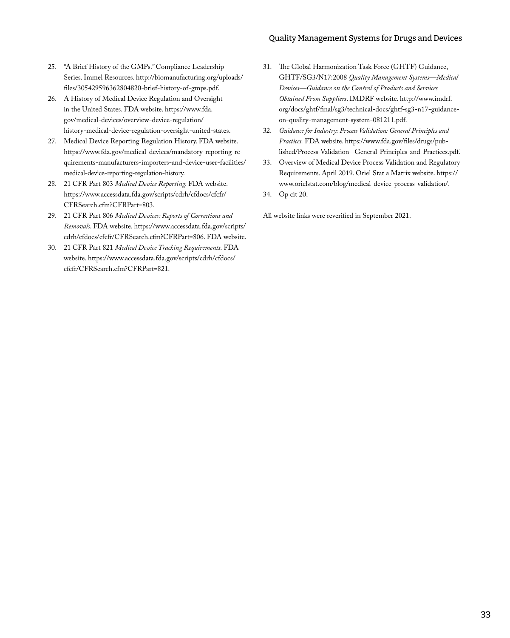#### Quality Management Systems for Drugs and Devices

- 25. "A Brief History of the GMPs." Compliance Leadership Series. Immel Resources. http://biomanufacturing.org/uploads/ files/305429596362804820-brief-history-of-gmps.pdf.
- 26. A History of Medical Device Regulation and Oversight in the United States. FDA website. https://www.fda. gov/medical-devices/overview-device-regulation/ history-medical-device-regulation-oversight-united-states.
- 27. Medical Device Reporting Regulation History. FDA website. https://www.fda.gov/medical-devices/mandatory-reporting-requirements-manufacturers-importers-and-device-user-facilities/ medical-device-reporting-regulation-history.
- 28. 21 CFR Part 803 *Medical Device Reporting.* FDA website. https://www.accessdata.fda.gov/scripts/cdrh/cfdocs/cfcfr/ CFRSearch.cfm?CFRPart=803.
- 29. 21 CFR Part 806 *Medical Devices: Reports of Corrections and Removals*. FDA website. https://www.accessdata.fda.gov/scripts/ cdrh/cfdocs/cfcfr/CFRSearch.cfm?CFRPart=806. FDA website.
- 30. 21 CFR Part 821 *Medical Device Tracking Requirements.* FDA website. https://www.accessdata.fda.gov/scripts/cdrh/cfdocs/ cfcfr/CFRSearch.cfm?CFRPart=821.
- 31. The Global Harmonization Task Force (GHTF) Guidance, GHTF/SG3/N17:2008 *Quality Management Systems—Medical Devices—Guidance on the Control of Products and Services Obtained From Suppliers*. IMDRF website. http://www.imdrf. org/docs/ghtf/final/sg3/technical-docs/ghtf-sg3-n17-guidanceon-quality-management-system-081211.pdf.
- 32. *Guidance for Industry: Process Validation: General Principles and Practices.* FDA website. https://www.fda.gov/files/drugs/published/Process-Validation--General-Principles-and-Practices.pdf.
- 33. Overview of Medical Device Process Validation and Regulatory Requirements. April 2019. Oriel Stat a Matrix website. https:// www.orielstat.com/blog/medical-device-process-validation/.
- 34. Op cit 20.

All website links were reverified in September 2021.